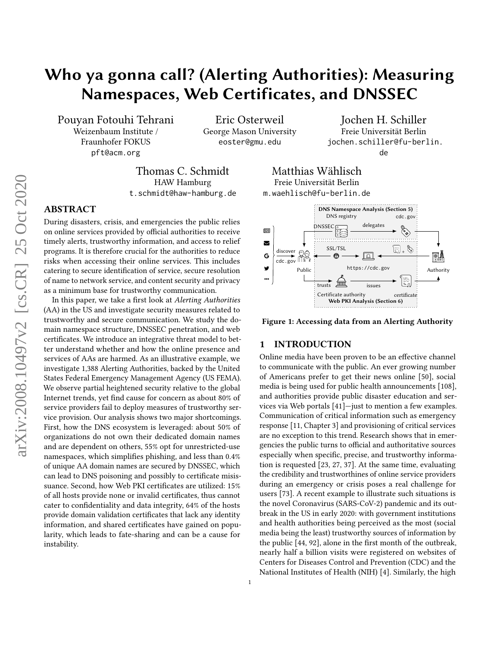# Who ya gonna call? (Alerting Authorities): Measuring Namespaces, Web Certificates, and DNSSEC

Pouyan Fotouhi Tehrani Weizenbaum Institute / Fraunhofer FOKUS pft@acm.org

Eric Osterweil George Mason University eoster@gmu.edu

Thomas C. Schmidt HAW Hamburg t.schmidt@haw-hamburg.de

# ABSTRACT

During disasters, crisis, and emergencies the public relies on online services provided by official authorities to receive timely alerts, trustworthy information, and access to relief programs. It is therefore crucial for the authorities to reduce risks when accessing their online services. This includes catering to secure identification of service, secure resolution of name to network service, and content security and privacy as a minimum base for trustworthy communication.

In this paper, we take a first look at Alerting Authorities (AA) in the US and investigate security measures related to trustworthy and secure communication. We study the domain namespace structure, DNSSEC penetration, and web certificates. We introduce an integrative threat model to better understand whether and how the online presence and services of AAs are harmed. As an illustrative example, we investigate 1,388 Alerting Authorities, backed by the United States Federal Emergency Management Agency (US FEMA). We observe partial heightened security relative to the global Internet trends, yet find cause for concern as about 80% of service providers fail to deploy measures of trustworthy service provision. Our analysis shows two major shortcomings. First, how the DNS ecosystem is leveraged: about 50% of organizations do not own their dedicated domain names and are dependent on others, 55% opt for unrestricted-use namespaces, which simplifies phishing, and less than 0.4% of unique AA domain names are secured by DNSSEC, which can lead to DNS poisoning and possibly to certificate misissuance. Second, how Web PKI certificates are utilized: 15% of all hosts provide none or invalid certificates, thus cannot cater to confidentiality and data integrity, 64% of the hosts provide domain validation certificates that lack any identity information, and shared certificates have gained on popularity, which leads to fate-sharing and can be a cause for instability.

jochen.schiller@fu-berlin. de Matthias Wählisch

Jochen H. Schiller Freie Universität Berlin

<span id="page-0-0"></span>

Figure 1: Accessing data from an Alerting Authority

# 1 INTRODUCTION

Freie Universität Berlin

Online media have been proven to be an effective channel to communicate with the public. An ever growing number of Americans prefer to get their news online [\[50\]](#page-15-0), social media is being used for public health announcements [\[108\]](#page-16-0), and authorities provide public disaster education and services via Web portals [\[41\]](#page-15-1)—just to mention a few examples. Communication of critical information such as emergency response [\[11,](#page-14-0) Chapter 3] and provisioning of critical services are no exception to this trend. Research shows that in emergencies the public turns to official and authoritative sources especially when specific, precise, and trustworthy information is requested [\[23,](#page-14-1) [27,](#page-14-2) [37\]](#page-14-3). At the same time, evaluating the credibility and trustworthines of online service providers during an emergency or crisis poses a real challenge for users [\[73\]](#page-15-2). A recent example to illustrate such situations is the novel Coronavirus (SARS-CoV-2) pandemic and its outbreak in the US in early 2020: with government institutions and health authorities being perceived as the most (social media being the least) trustworthy sources of information by the public [\[44,](#page-15-3) [92\]](#page-16-1), alone in the first month of the outbreak, nearly half a billion visits were registered on websites of Centers for Diseases Control and Prevention (CDC) and the National Institutes of Health (NIH) [\[4\]](#page-14-4). Similarly, the high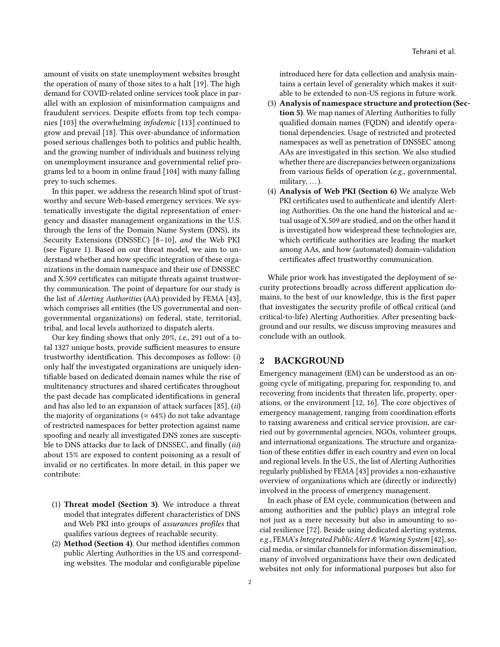amount of visits on state unemployment websites brought the operation of many of those sites to a halt [\[19\]](#page-14-5). The high demand for COVID-related online services took place in parallel with an explosion of misinformation campaigns and fraudulent services. Despite efforts from top tech companies [\[103\]](#page-16-2) the overwhelming infodemic [\[113\]](#page-17-0) continued to grow and prevail [\[18\]](#page-14-6). This over-abundance of information posed serious challenges both to politics and public health, and the growing number of individuals and business relying on unemployment insurance and governmental relief programs led to a boom in online fraud [\[104\]](#page-16-3) with many falling prey to such schemes.

In this paper, we address the research blind spot of trustworthy and secure Web-based emergency services. We systematically investigate the digital representation of emergency and disaster management organizations in the U.S. through the lens of the Domain Name System (DNS), its Security Extensions (DNSSEC) [\[8](#page-14-7)[–10\]](#page-14-8), and the Web PKI (see [Figure 1\)](#page-0-0). Based on our threat model, we aim to understand whether and how specific integration of these organizations in the domain namespace and their use of DNSSEC and X.509 certificates can mitigate threats against trustworthy communication. The point of departure for our study is the list of Alerting Authorities (AA) provided by FEMA [\[43\]](#page-15-4), which comprises all entities (the US governmental and nongovernmental organizations) on federal, state, territorial, tribal, and local levels authorized to dispatch alerts.

Our key finding shows that only 20%, i.e., 291 out of a total 1327 unique hosts, provide sufficient measures to ensure trustworthy identification. This decomposes as follow: (i) only half the investigated organizations are uniquely identifiable based on dedicated domain names while the rise of multitenancy structures and shared certificates throughout the past decade has complicated identifications in general and has also led to an expansion of attack surfaces [\[85\]](#page-16-4), (ii) the majority of organizations ( $\approx 64\%$ ) do not take advantage of restricted namespaces for better protection against name spoofing and nearly all investigated DNS zones are susceptible to DNS attacks due to lack of DNSSEC, and finally (iii) about 15% are exposed to content poisoning as a result of invalid or no certificates. In more detail, in this paper we contribute:

- (1) Threat model (Section [3\)](#page-2-0). We introduce a threat model that integrates different characteristics of DNS and Web PKI into groups of assurances profiles that qualifies various degrees of reachable security.
- (2) Method (Section [4\)](#page-4-0). Our method identifies common public Alerting Authorities in the US and corresponding websites. The modular and configurable pipeline

introduced here for data collection and analysis maintains a certain level of generality which makes it suitable to be extended to non-US regions in future work.

- (3) Analysis of namespace structure and protection (Sec-tion [5\)](#page-5-0). We map names of Alerting Authorities to fully qualified domain names (FQDN) and identify operational dependencies. Usage of restricted and protected namespaces as well as penetration of DNSSEC among AAs are investigated in this section. We also studied whether there are discrepancies between organizations from various fields of operation (e.g., governmental, military,  $\dots$ ).
- (4) Analysis of Web PKI (Section [6\)](#page-7-0) We analyze Web PKI certificates used to authenticate and identify Alerting Authorities. On the one hand the historical and actual usage of X.509 are studied, and on the other hand it is investigated how widespread these technologies are, which certificate authorities are leading the market among AAs, and how (automated) domain-validation certificates affect trustworthy communication.

While prior work has investigated the deployment of security protections broadly across different application domains, to the best of our knowledge, this is the first paper that investigates the security profile of offical critical (and critical-to-life) Alerting Authorities. After presenting background and our results, we discuss improving measures and conclude with an outlook.

# 2 BACKGROUND

Emergency management (EM) can be understood as an ongoing cycle of mitigating, preparing for, responding to, and recovering from incidents that threaten life, property, operations, or the environment [\[12,](#page-14-9) [16\]](#page-14-10). The core objectives of emergency management, ranging from coordination efforts to raising awareness and critical service provision, are carried out by governmental agencies, NGOs, volunteer groups, and international organizations. The structure and organization of these entities differ in each country and even on local and regional levels. In the U.S., the list of Alerting Authorities regularly published by FEMA [\[43\]](#page-15-4) provides a non-exhaustive overview of organizations which are (directly or indirectly) involved in the process of emergency management.

In each phase of EM cycle, communication (between and among authorities and the public) plays an integral role not just as a mere necessity but also in amounting to social resilience [\[72\]](#page-15-5). Beside using dedicated alerting systems, e.g., FEMA's Integrated Public Alert & Warning System [\[42\]](#page-15-6), social media, or similar channels for information dissemination, many of involved organizations have their own dedicated websites not only for informational purposes but also for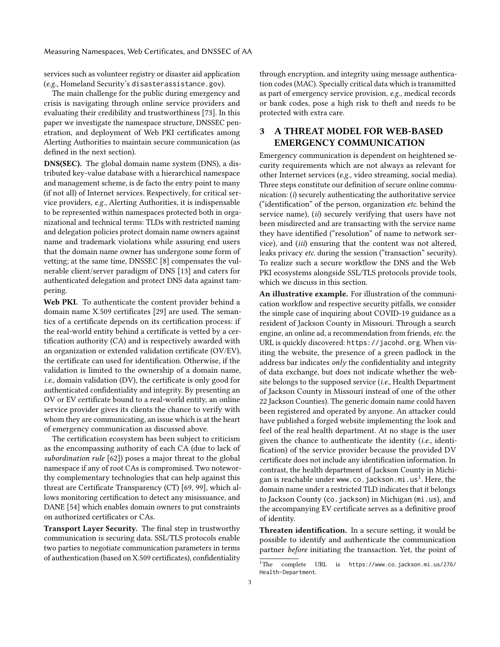services such as volunteer registry or disaster aid application (e.g., Homeland Security's disasterassistance.gov).

The main challenge for the public during emergency and crisis is navigating through online service providers and evaluating their credibility and trustworthiness [\[73\]](#page-15-2). In this paper we investigate the namespace structure, DNSSEC penetration, and deployment of Web PKI certificates among Alerting Authorities to maintain secure communication (as defined in the next section).

DNS(SEC). The global domain name system (DNS), a distributed key-value database with a hierarchical namespace and management scheme, is de facto the entry point to many (if not all) of Internet services. Respectively, for critical service providers, e.g., Alerting Authorities, it is indispensable to be represented within namespaces protected both in organizational and technical terms: TLDs with restricted naming and delegation policies protect domain name owners against name and trademark violations while assuring end users that the domain name owner has undergone some form of vetting; at the same time, DNSSEC [\[8\]](#page-14-7) compensates the vulnerable client/server paradigm of DNS [\[13\]](#page-14-11) and caters for authenticated delegation and protect DNS data against tampering.

Web PKI. To authenticate the content provider behind a domain name X.509 certificates [\[29\]](#page-14-12) are used. The semantics of a certificate depends on its certification process: if the real-world entity behind a certificate is vetted by a certification authority (CA) and is respectively awarded with an organization or extended validation certificate (OV/EV), the certificate can used for identification. Otherwise, if the validation is limited to the ownership of a domain name, i.e., domain validation (DV), the certificate is only good for authenticated confidentiality and integrity. By presenting an OV or EV certificate bound to a real-world entity, an online service provider gives its clients the chance to verify with whom they are communicating, an issue which is at the heart of emergency communication as discussed above.

The certification ecosystem has been subject to criticism as the encompassing authority of each CA (due to lack of subordination rule [\[62\]](#page-15-7)) poses a major threat to the global namespace if any of root CAs is compromised. Two noteworthy complementary technologies that can help against this threat are Certificate Transparency (CT) [\[69,](#page-15-8) [99\]](#page-16-5), which allows monitoring certification to detect any misissuance, and DANE [\[54\]](#page-15-9) which enables domain owners to put constraints on authorized certificates or CAs.

Transport Layer Security. The final step in trustworthy communication is securing data. SSL/TLS protocols enable two parties to negotiate communication parameters in terms of authentication (based on X.509 certificates), confidentiality through encryption, and integrity using message authentication codes (MAC). Specially critical data which is transmitted as part of emergency service provision, e.g., medical records or bank codes, pose a high risk to theft and needs to be protected with extra care.

# <span id="page-2-0"></span>3 A THREAT MODEL FOR WEB-BASED EMERGENCY COMMUNICATION

Emergency communication is dependent on heightened security requirements which are not always as relevant for other Internet services (e.g., video streaming, social media). Three steps constitute our definition of secure online communication: (i) securely authenticating the authoritative service ("identification" of the person, organization etc. behind the service name), *(ii)* securely verifying that users have not been misdirected and are transacting with the service name they have identified ("resolution" of name to network service), and (iii) ensuring that the content was not altered, leaks privacy etc. during the session ("transaction" security). To realize such a secure workflow the DNS and the Web PKI ecosystems alongside SSL/TLS protocols provide tools, which we discuss in this section.

An illustrative example. For illustration of the communication workflow and respective security pitfalls, we consider the simple case of inquiring about COVID-19 guidance as a resident of Jackson County in Missouri. Through a search engine, an online ad, a recommendation from friends, etc. the URL is quickly discovered: <https://jacohd.org>. When visiting the website, the presence of a green padlock in the address bar indicates  $only$  the confidentiality and integrity of data exchange, but does not indicate whether the website belongs to the supposed service (i.e., Health Department of Jackson County in Missouri instead of one of the other 22 Jackson Counties). The generic domain name could haven been registered and operated by anyone. An attacker could have published a forged website implementing the look and feel of the real health department. At no stage is the user given the chance to authenticate the identity (i.e., identification) of the service provider because the provided DV certificate does not include any identification information. In contrast, the health department of Jackson County in Michigan is reachable under <www.co.jackson.mi.us><sup>[1](#page-2-1)</sup>. Here, the domain name under a restricted TLD indicates that it belongs to Jackson County (co. jackson) in Michigan (mi.us), and the accompanying EV certificate serves as a definitive proof of identity.

Threaten identification. In a secure setting, it would be possible to identify and authenticate the communication partner before initiating the transaction. Yet, the point of

<span id="page-2-1"></span><sup>1</sup>The complete URL is [https://www.co.jackson.mi.us/276/](https://www.co.jackson.mi.us/276/Health-Department) [Health-Department](https://www.co.jackson.mi.us/276/Health-Department).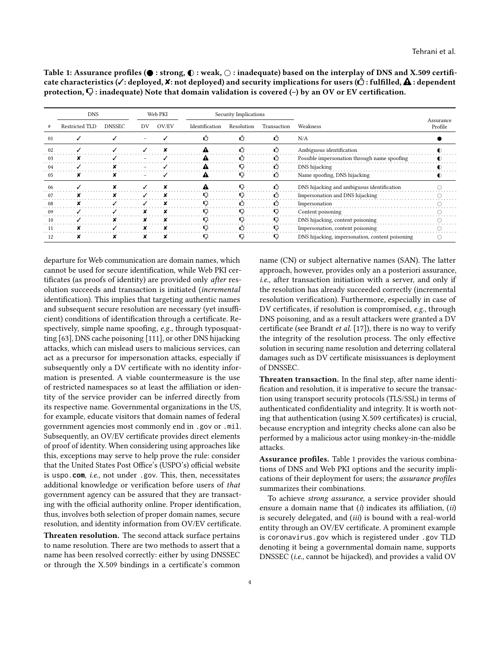<span id="page-3-0"></span>Table 1: Assurance profiles ( $\bullet$  : strong,  $\bullet$  : weak,  $\circ$  : inadequate) based on the interplay of DNS and X.509 certificate characteristics ( $\checkmark$ : deployed,  $\checkmark$ : not deployed) and security implications for users ( $\hat{\mathcal{L}}$ ): fulfilled,  $\hat{\mathbf{A}}$ : dependent protection,  $\nabla$ : inadequate) Note that domain validation is covered (-) by an OV or EV certification.

|    | <b>DNS</b><br>Web PKI |               |                          |       | Security Implications |            |             |                                                 |                      |
|----|-----------------------|---------------|--------------------------|-------|-----------------------|------------|-------------|-------------------------------------------------|----------------------|
|    | Restricted TLD        | <b>DNSSEC</b> | DV                       | OV/EV | Identification        | Resolution | Transaction | Weakness                                        | Assurance<br>Profile |
| 01 |                       |               |                          |       | Ű                     | Ľ)         | Ω           | N/A                                             |                      |
| 02 |                       |               |                          |       |                       |            | ረን          | Ambiguous identification                        |                      |
| 03 |                       |               | $\overline{\phantom{a}}$ |       |                       |            |             | Possible impersonation through name spoofing    |                      |
| 04 |                       |               |                          |       |                       |            |             | DNS hijacking                                   |                      |
| 05 |                       |               |                          |       | ≞                     |            | Ű           | Name spoofing, DNS hijacking                    |                      |
| 06 |                       |               |                          |       |                       |            |             | DNS hijacking and ambiguous identification      |                      |
| 07 |                       |               |                          |       |                       |            | Ľ)          | Impersonation and DNS hijacking                 |                      |
| 08 |                       |               |                          |       |                       |            | ď٦          | Impersonation                                   |                      |
| 09 |                       |               |                          |       |                       |            |             | Content poisoning                               |                      |
| 10 |                       |               |                          |       |                       |            |             | DNS hijacking, content poisoning                |                      |
| 11 |                       |               |                          |       |                       |            |             | Impersonation, content poisoning                |                      |
| 12 |                       |               |                          |       |                       |            |             | DNS hijacking, impersonation, content poisoning |                      |

departure for Web communication are domain names, which cannot be used for secure identification, while Web PKI certificates (as proofs of identity) are provided only after resolution succeeds and transaction is initiated (incremental identification). This implies that targeting authentic names and subsequent secure resolution are necessary (yet insufficient) conditions of identification through a certificate. Respectively, simple name spoofing, e.g., through typosquatting [\[63\]](#page-15-10), DNS cache poisoning [\[111\]](#page-17-1), or other DNS hijacking attacks, which can mislead users to malicious services, can act as a precursor for impersonation attacks, especially if subsequently only a DV certificate with no identity information is presented. A viable countermeasure is the use of restricted namespaces so at least the affiliation or identity of the service provider can be inferred directly from its respective name. Governmental organizations in the US, for example, educate visitors that domain names of federal government agencies most commonly end in .gov or .mil. Subsequently, an OV/EV certificate provides direct elements of proof of identity. When considering using approaches like this, exceptions may serve to help prove the rule: consider that the United States Post Office's (USPO's) official website is uspo.**com**, i.e., not under .gov. This, then, necessitates additional knowledge or verification before users of that government agency can be assured that they are transacting with the official authority online. Proper identification, thus, involves both selection of proper domain names, secure resolution, and identity information from OV/EV certificate.

Threaten resolution. The second attack surface pertains to name resolution. There are two methods to assert that a name has been resolved correctly: either by using DNSSEC or through the X.509 bindings in a certificate's common

name (CN) or subject alternative names (SAN). The latter approach, however, provides only an a posteriori assurance, i.e., after transaction initiation with a server, and only if the resolution has already succeeded correctly (incremental resolution verification). Furthermore, especially in case of DV certificates, if resolution is compromised, e.g., through DNS poisoning, and as a result attackers were granted a DV certificate (see Brandt et al. [\[17\]](#page-14-13)), there is no way to verify the integrity of the resolution process. The only effective solution in securing name resolution and deterring collateral damages such as DV certificate misissuances is deployment of DNSSEC.

Threaten transaction. In the final step, after name identification and resolution, it is imperative to secure the transaction using transport security protocols (TLS/SSL) in terms of authenticated confidentiality and integrity. It is worth noting that authentication (using X.509 certificates) is crucial, because encryption and integrity checks alone can also be performed by a malicious actor using monkey-in-the-middle attacks.

Assurance profiles. [Table 1](#page-3-0) provides the various combinations of DNS and Web PKI options and the security implications of their deployment for users; the assurance profiles summarizes their combinations.

To achieve strong assurance, a service provider should ensure a domain name that  $(i)$  indicates its affiliation,  $(ii)$ is securely delegated, and (iii) is bound with a real-world entity through an OV/EV certificate. A prominent example is <coronavirus.gov> which is registered under .gov TLD denoting it being a governmental domain name, supports DNSSEC (i.e., cannot be hijacked), and provides a valid OV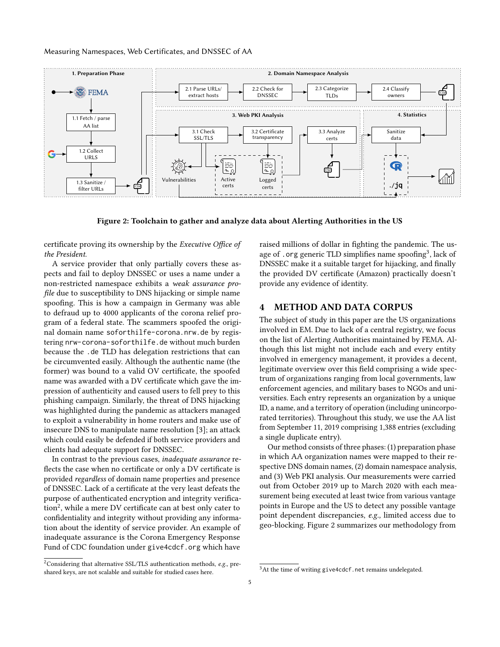#### Measuring Namespaces, Web Certificates, and DNSSEC of AA

<span id="page-4-3"></span>

Figure 2: Toolchain to gather and analyze data about Alerting Authorities in the US

certificate proving its ownership by the Executive Office of the President.

A service provider that only partially covers these aspects and fail to deploy DNSSEC or uses a name under a non-restricted namespace exhibits a weak assurance profile due to susceptibility to DNS hijacking or simple name spoofing. This is how a campaign in Germany was able to defraud up to 4000 applicants of the corona relief program of a federal state. The scammers spoofed the original domain name <soforthilfe-corona.nrw.de> by registering <nrw-corona-soforthilfe.de> without much burden because the .de TLD has delegation restrictions that can be circumvented easily. Although the authentic name (the former) was bound to a valid OV certificate, the spoofed name was awarded with a DV certificate which gave the impression of authenticity and caused users to fell prey to this phishing campaign. Similarly, the threat of DNS hijacking was highlighted during the pandemic as attackers managed to exploit a vulnerability in home routers and make use of insecure DNS to manipulate name resolution [\[3\]](#page-13-0); an attack which could easily be defended if both service providers and clients had adequate support for DNSSEC.

In contrast to the previous cases, inadequate assurance reflects the case when no certificate or only a DV certificate is provided regardless of domain name properties and presence of DNSSEC. Lack of a certificate at the very least defeats the purpose of authenticated encryption and integrity verification $^2$  $^2$ , while a mere DV certificate can at best only cater to confidentiality and integrity without providing any information about the identity of service provider. An example of inadequate assurance is the Corona Emergency Response Fund of CDC foundation under <give4cdcf.org> which have

<span id="page-4-1"></span><sup>2</sup>Considering that alternative SSL/TLS authentication methods,  $e.g.,$  preshared keys, are not scalable and suitable for studied cases here.

raised millions of dollar in fighting the pandemic. The us-age of . org generic TLD simplifies name spoofing<sup>[3](#page-4-2)</sup>, lack of DNSSEC make it a suitable target for hijacking, and finally the provided DV certificate (Amazon) practically doesn't provide any evidence of identity.

# <span id="page-4-0"></span>4 METHOD AND DATA CORPUS

The subject of study in this paper are the US organizations involved in EM. Due to lack of a central registry, we focus on the list of Alerting Authorities maintained by FEMA. Although this list might not include each and every entity involved in emergency management, it provides a decent, legitimate overview over this field comprising a wide spectrum of organizations ranging from local governments, law enforcement agencies, and military bases to NGOs and universities. Each entry represents an organization by a unique ID, a name, and a territory of operation (including unincorporated territories). Throughout this study, we use the AA list from September 11, 2019 comprising 1,388 entries (excluding a single duplicate entry).

Our method consists of three phases: (1) preparation phase in which AA organization names were mapped to their respective DNS domain names, (2) domain namespace analysis, and (3) Web PKI analysis. Our measurements were carried out from October 2019 up to March 2020 with each measurement being executed at least twice from various vantage points in Europe and the US to detect any possible vantage point dependent discrepancies, e.g., limited access due to geo-blocking. [Figure 2](#page-4-3) summarizes our methodology from

<span id="page-4-2"></span><sup>&</sup>lt;sup>3</sup>At the time of writing <give4cdcf.net> remains undelegated.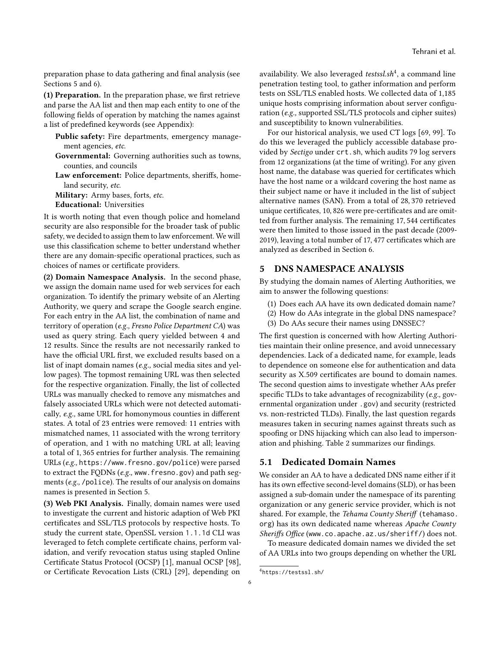preparation phase to data gathering and final analysis (see Sections [5](#page-5-0) and [6\)](#page-7-0).

(1) Preparation. In the preparation phase, we first retrieve and parse the AA list and then map each entity to one of the following fields of operation by matching the names against a list of predefined keywords (see [Appendix\)](#page-17-2):

- Public safety: Fire departments, emergency management agencies, etc.
- Governmental: Governing authorities such as towns, counties, and councils
- Law enforcement: Police departments, sheriffs, homeland security, etc.

Military: Army bases, forts, etc. Educational: Universities

It is worth noting that even though police and homeland security are also responsible for the broader task of public safety, we decided to assign them to law enforcement. We will use this classification scheme to better understand whether there are any domain-specific operational practices, such as choices of names or certificate providers.

(2) Domain Namespace Analysis. In the second phase, we assign the domain name used for web services for each organization. To identify the primary website of an Alerting Authority, we query and scrape the Google search engine. For each entry in the AA list, the combination of name and territory of operation (e.g., Fresno Police Department CA) was used as query string. Each query yielded between 4 and 12 results. Since the results are not necessarily ranked to have the official URL first, we excluded results based on a list of inapt domain names (e.g., social media sites and yellow pages). The topmost remaining URL was then selected for the respective organization. Finally, the list of collected URLs was manually checked to remove any mismatches and falsely associated URLs which were not detected automatically, e.g., same URL for homonymous counties in different states. A total of 23 entries were removed: 11 entries with mismatched names, 11 associated with the wrong territory of operation, and 1 with no matching URL at all; leaving a total of 1, 365 entries for further analysis. The remaining URLs (e.g., <https://www.fresno.gov/police>) were parsed to extract the FQDNs (e.g., www.fresno.gov) and path segments (e.g., /police). The results of our analysis on domains names is presented in Section [5.](#page-5-0)

(3) Web PKI Analysis. Finally, domain names were used to investigate the current and historic adaption of Web PKI certificates and SSL/TLS protocols by respective hosts. To study the current state, OpenSSL version 1.1.1d CLI was leveraged to fetch complete certificate chains, perform validation, and verify revocation status using stapled Online Certificate Status Protocol (OCSP) [\[1\]](#page-13-1), manual OCSP [\[98\]](#page-16-6), or Certificate Revocation Lists (CRL) [\[29\]](#page-14-12), depending on

availability. We also leveraged testssl.sh<sup>[4](#page-5-1)</sup>, a command line penetration testing tool, to gather information and perform tests on SSL/TLS enabled hosts. We collected data of 1,185 unique hosts comprising information about server configuration (e.g., supported SSL/TLS protocols and cipher suites) and susceptibility to known vulnerabilities.

For our historical analysis, we used CT logs [\[69,](#page-15-8) [99\]](#page-16-5). To do this we leveraged the publicly accessible database provided by Sectigo under [crt.sh](https://crt.sh/), which audits 79 log servers from 12 organizations (at the time of writing). For any given host name, the database was queried for certificates which have the host name or a wildcard covering the host name as their subject name or have it included in the list of subject alternative names (SAN). From a total of 28, 370 retrieved unique certificates, 10, 826 were pre-certificates and are omitted from further analysis. The remaining 17, 544 certificates were then limited to those issued in the past decade (2009- 2019), leaving a total number of 17, 477 certificates which are analyzed as described in Section [6.](#page-7-0)

# <span id="page-5-0"></span>5 DNS NAMESPACE ANALYSIS

By studying the domain names of Alerting Authorities, we aim to answer the following questions:

- (1) Does each AA have its own dedicated domain name?
- (2) How do AAs integrate in the global DNS namespace?
- (3) Do AAs secure their names using DNSSEC?

The first question is concerned with how Alerting Authorities maintain their online presence, and avoid unnecessary dependencies. Lack of a dedicated name, for example, leads to dependence on someone else for authentication and data security as X.509 certificates are bound to domain names. The second question aims to investigate whether AAs prefer specific TLDs to take advantages of recognizability (e.g., governmental organization under .gov) and security (restricted vs. non-restricted TLDs). Finally, the last question regards measures taken in securing names against threats such as spoofing or DNS hijacking which can also lead to impersonation and phishing. [Table 2](#page-6-0) summarizes our findings.

# 5.1 Dedicated Domain Names

We consider an AA to have a dedicated DNS name either if it has its own effective second-level domains (SLD), or has been assigned a sub-domain under the namespace of its parenting organization or any generic service provider, which is not shared. For example, the Tehama County Sheriff ([tehamaso.](https://tehamaso.org/) [org](https://tehamaso.org/)) has its own dedicated name whereas Apache County Sheriffs Office (<www.co.apache.az.us/sheriff/>) does not.

To measure dedicated domain names we divided the set of AA URLs into two groups depending on whether the URL

<span id="page-5-1"></span><sup>4</sup><https://testssl.sh/>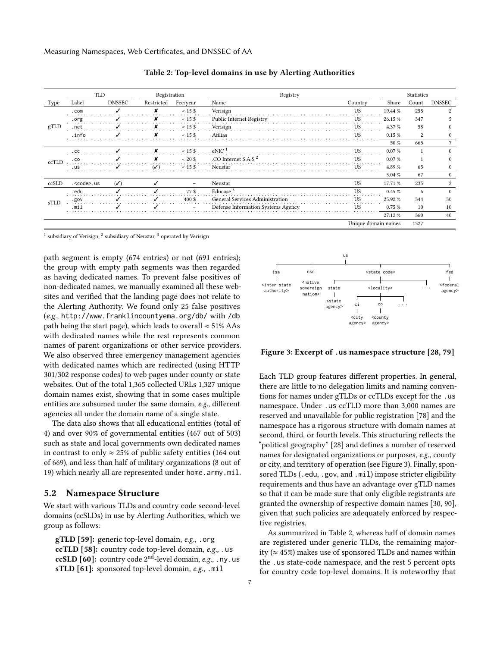<span id="page-6-0"></span>

|       | TLD                |                | Registration  |                          | Registry                           | Statistics          |          |       |                |
|-------|--------------------|----------------|---------------|--------------------------|------------------------------------|---------------------|----------|-------|----------------|
| Type  | Label              | <b>DNSSEC</b>  | Restricted    | Fee/year                 | Name                               | Country             | Share    | Count | <b>DNSSEC</b>  |
|       | .com               |                | x             | $< 15$ \$                | Verisign                           | <b>US</b>           | 19.44 %  | 258   | 2              |
|       | .org               |                | x             | $< 15$ \$                | Public Internet Registry           | <b>US</b>           | 26.15 %  | 347   |                |
| gTLD  | .net               |                | x             | $< 15$ \$                | Verisign                           | <b>US</b>           | 4.37 %   | 58    | $^{0}$         |
|       | .info              |                | x             | $< 15$ \$                | Afilias                            | US                  | $0.15\%$ | 2     | $\mathbf{0}$   |
|       |                    |                |               |                          |                                    |                     | 50 %     | 665   | 7              |
|       | .C <sub>C</sub>    |                | x             | $< 15$ \$                | eNIC <sup>1</sup>                  | <b>US</b>           | 0.07%    |       | $\Omega$       |
| ccTLD | . co               |                |               | $~120$ \$                | .CO Internet S.A.S <sup>2</sup>    | <b>US</b>           | 0.07%    |       | $\mathbf{0}$   |
|       | .us                |                | $\mathcal{L}$ | $< 15$ \$                | Neustar                            | <b>US</b>           | 4.89 %   | 65    | $\mathbf{0}$   |
|       |                    |                |               |                          |                                    |                     | 5.04 %   | 67    | $\mathbf{0}$   |
| ccSLD | . <code>.us</code> | $(\checkmark)$ |               | $\overline{\phantom{0}}$ | Neustar                            | US                  | 17.71 %  | 235   | $\overline{c}$ |
|       | . edu              |                |               | 77\$                     | Educase <sup>3</sup>               | <b>US</b>           | $0.45\%$ | 6     | $\Omega$       |
| sTLD  | .gov               |                |               | $400 \text{ }$ \$        | General Services Administration    | <b>US</b>           | 25.92 %  | 344   | 30             |
|       | mil                |                |               |                          | Defense Information Systems Agency | US                  | 0.75%    | 10    | 10             |
|       |                    |                |               |                          |                                    |                     | 27.12 %  | 360   | 40             |
|       |                    |                |               |                          |                                    | Unique domain names |          | 1327  |                |

Table 2: Top-level domains in use by Alerting Authorities

<sup>1</sup> subsidiary of Verisign, <sup>2</sup> subsidiary of Neustar, <sup>3</sup> operated by Verisign

path segment is empty (674 entries) or not (691 entries); the group with empty path segments was then regarded as having dedicated names. To prevent false positives of non-dedicated names, we manually examined all these websites and verified that the landing page does not relate to the Alerting Authority. We found only 25 false positives (e.g., <http://www.franklincountyema.org/db/> with /db path being the start page), which leads to overall  $\approx$  51% AAs with dedicated names while the rest represents common names of parent organizations or other service providers. We also observed three emergency management agencies with dedicated names which are redirected (using HTTP 301/302 response codes) to web pages under county or state websites. Out of the total 1,365 collected URLs 1,327 unique domain names exist, showing that in some cases multiple entities are subsumed under the same domain, e.g., different agencies all under the domain name of a single state.

The data also shows that all educational entities (total of 4) and over 90% of governmental entities (467 out of 503) such as state and local governments own dedicated names in contrast to only  $\approx 25\%$  of public safety entities (164 out of 669), and less than half of military organizations (8 out of 19) which nearly all are represented under [home.army.mil](https://home.army.mil).

## 5.2 Namespace Structure

We start with various TLDs and country code second-level domains (ccSLDs) in use by Alerting Authorities, which we group as follows:

gTLD [\[59\]](#page-15-11): generic top-level domain, e.g., .org ccTLD [\[58\]](#page-15-12): country code top-level domain, e.g., .us ccSLD  $[60]$ : country code 2<sup>nd</sup>-level domain, e.g., .ny.us sTLD [\[61\]](#page-15-14): sponsored top-level domain, e.g., .mil

<span id="page-6-1"></span>

Figure 3: Excerpt of **.us** namespace structure [\[28,](#page-14-14) [79\]](#page-16-7)

Each TLD group features different properties. In general, there are little to no delegation limits and naming conventions for names under gTLDs or ccTLDs except for the .us namespace. Under .us ccTLD more than 3,000 names are reserved and unavailable for public registration [\[78\]](#page-16-8) and the namespace has a rigorous structure with domain names at second, third, or fourth levels. This structuring reflects the "political geography" [\[28\]](#page-14-14) and defines a number of reserved names for designated organizations or purposes, e.g., county or city, and territory of operation (see [Figure 3\)](#page-6-1). Finally, sponsored TLDs (.edu, .gov, and .mil) impose stricter eligibility requirements and thus have an advantage over gTLD names so that it can be made sure that only eligible registrants are granted the ownership of respective domain names [\[30,](#page-14-15) [90\]](#page-16-9), given that such policies are adequately enforced by respective registries.

As summarized in [Table 2,](#page-6-0) whereas half of domain names are registered under generic TLDs, the remaining majority ( $\approx$  45%) makes use of sponsored TLDs and names within the .us state-code namespace, and the rest 5 percent opts for country code top-level domains. It is noteworthy that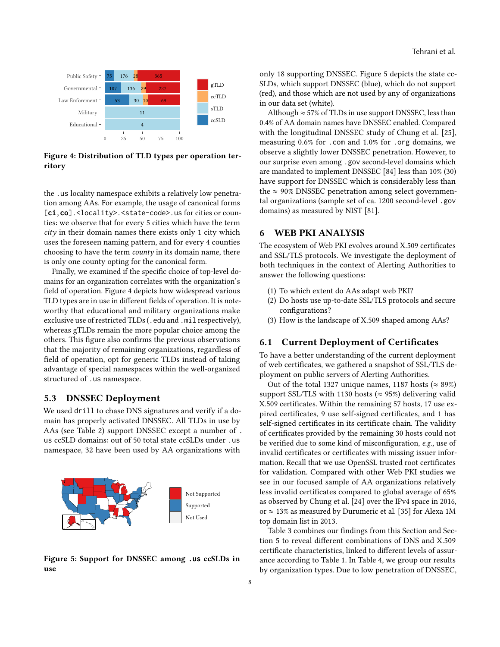<span id="page-7-1"></span>

Figure 4: Distribution of TLD types per operation territory

the .us locality namespace exhibits a relatively low penetration among AAs. For example, the usage of canonical forms [**ci**,**co**].<locality>.<state-code>.us for cities or counties: we observe that for every 5 cities which have the term city in their domain names there exists only 1 city which uses the foreseen naming pattern, and for every 4 counties choosing to have the term county in its domain name, there is only one county opting for the canonical form.

Finally, we examined if the specific choice of top-level domains for an organization correlates with the organization's field of operation. [Figure 4](#page-7-1) depicts how widespread various TLD types are in use in different fields of operation. It is noteworthy that educational and military organizations make exclusive use of restricted TLDs (. edu and . mil respectively), whereas gTLDs remain the more popular choice among the others. This figure also confirms the previous observations that the majority of remaining organizations, regardless of field of operation, opt for generic TLDs instead of taking advantage of special namespaces within the well-organized structured of .us namespace.

#### <span id="page-7-4"></span>5.3 DNSSEC Deployment

We used drill to chase DNS signatures and verify if a domain has properly activated DNSSEC. All TLDs in use by AAs (see [Table 2\)](#page-6-0) support DNSSEC except a number of . us ccSLD domains: out of 50 total state ccSLDs under .us namespace, 32 have been used by AA organizations with

<span id="page-7-2"></span>

Figure 5: Support for DNSSEC among **.us** ccSLDs in use

only 18 supporting DNSSEC. [Figure 5](#page-7-2) depicts the state cc-SLDs, which support DNSSEC (blue), which do not support (red), and those which are not used by any of organizations in our data set (white).

Although  $\approx$  57% of TLDs in use support DNSSEC, less than 0.4% of AA domain names have DNSSEC enabled. Compared with the longitudinal DNSSEC study of Chung et al. [\[25\]](#page-14-16), measuring 0.6% for .com and 1.0% for .org domains, we observe a slightly lower DNSSEC penetration. However, to our surprise even among .gov second-level domains which are mandated to implement DNSSEC [\[84\]](#page-16-10) less than 10% (30) have support for DNSSEC which is considerably less than the  $\approx$  90% DNSSEC penetration among select governmental organizations (sample set of ca. 1200 second-level .gov domains) as measured by NIST [\[81\]](#page-16-11).

## <span id="page-7-0"></span>6 WEB PKI ANALYSIS

The ecosystem of Web PKI evolves around X.509 certificates and SSL/TLS protocols. We investigate the deployment of both techniques in the context of Alerting Authorities to answer the following questions:

- (1) To which extent do AAs adapt web PKI?
- (2) Do hosts use up-to-date SSL/TLS protocols and secure configurations?
- (3) How is the landscape of X.509 shaped among AAs?

## <span id="page-7-3"></span>6.1 Current Deployment of Certificates

To have a better understanding of the current deployment of web certificates, we gathered a snapshot of SSL/TLS deployment on public servers of Alerting Authorities.

Out of the total 1327 unique names, 1187 hosts ( $\approx 89\%$ ) support SSL/TLS with 1130 hosts ( $\approx$  95%) delivering valid X.509 certificates. Within the remaining 57 hosts, 17 use expired certificates, 9 use self-signed certificates, and 1 has self-signed certificates in its certificate chain. The validity of certificates provided by the remaining 30 hosts could not be verified due to some kind of misconfiguration, e.g., use of invalid certificates or certificates with missing issuer information. Recall that we use OpenSSL trusted root certificates for validation. Compared with other Web PKI studies we see in our focused sample of AA organizations relatively less invalid certificates compared to global average of 65% as observed by Chung et al. [\[24\]](#page-14-17) over the IPv4 space in 2016, or ≈ 13% as measured by Durumeric et al. [\[35\]](#page-14-18) for Alexa 1M top domain list in 2013.

[Table 3](#page-8-0) combines our findings from this Section and Section [5](#page-5-0) to reveal different combinations of DNS and X.509 certificate characteristics, linked to different levels of assurance according to [Table 1.](#page-3-0) In [Table 4,](#page-8-1) we group our results by organization types. Due to low penetration of DNSSEC,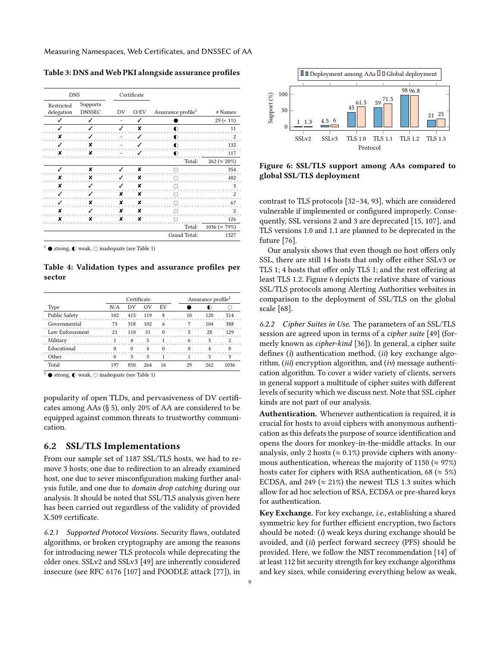Measuring Namespaces, Web Certificates, and DNSSEC of AA

| <b>DNS</b>                                            |   |    | Certificate |                                |                        |
|-------------------------------------------------------|---|----|-------------|--------------------------------|------------------------|
| Supports<br>Restricted<br>delegation<br><b>DNSSEC</b> |   | DV | O/EV        | Assurance profile <sup>1</sup> | # Names                |
| ✓                                                     | ✓ |    |             |                                | $29 (= 1\%)$           |
|                                                       |   |    | ×           |                                | 11                     |
| x                                                     |   |    |             | D                              | 2                      |
|                                                       | ¥ |    |             |                                | 132                    |
|                                                       | × |    |             |                                | 117                    |
|                                                       |   |    |             | Total:                         | 262 ( $\approx 20\%$ ) |
|                                                       | × |    | ×           |                                | 354                    |
| ×                                                     | × |    | ×           |                                | 482                    |
| ×                                                     |   |    | ×           |                                | 3                      |
|                                                       |   | ×  | ×           |                                | $\overline{c}$         |
|                                                       | x | ×  | x           |                                | 67                     |
| x                                                     |   | ×  | x           |                                | $\overline{c}$         |
| x                                                     | x | x  | x           |                                | 126                    |
|                                                       |   |    |             | Total:                         | 1036 ( $\approx$ 79%)  |
|                                                       |   |    |             | Grand Total:                   | 1327                   |

<span id="page-8-0"></span>Table 3: DNS and Web PKI alongside assurance profiles

 $1 \bullet$  strong,  $\bullet$  weak,  $\circ$  inadequate (see [Table 1\)](#page-3-0)

<span id="page-8-1"></span>Table 4: Validation types and assurance profiles per sector

|                                                          |     | Certificate |     |            |  |    | Assurance profile <sup>1</sup> |      |
|----------------------------------------------------------|-----|-------------|-----|------------|--|----|--------------------------------|------|
| Type                                                     | N/A | DV          | OV  | EV         |  |    |                                |      |
| Public Safety                                            | 102 | 415         | 119 | 8          |  | 10 | 120                            | 514  |
| Governmental                                             | 73  | 318         | 102 | 6          |  |    | 104                            | 388  |
| Law Enforcement                                          | 21  | 110         | 31  | $\Omega$   |  |    | 28                             | 129  |
| Military                                                 |     |             | 5   |            |  |    |                                |      |
| Educational                                              |     | $^{\circ}$  | 4   | $^{\circ}$ |  |    |                                |      |
| Other                                                    |     | 3           | 3   |            |  |    |                                |      |
| Total                                                    | 197 | 850         | 264 | 16         |  | 29 | 262                            | 1036 |
| strong $\bigcap$ weak $\bigcap$ inadequate (see Table 1) |     |             |     |            |  |    |                                |      |

 $^1$   $\bullet$  strong,  $\mathbb O$  weak,  $\bigcirc$  inadequate (see [Table 1\)](#page-3-0)

popularity of open TLDs, and pervasiveness of DV certificates among AAs (§ [5\)](#page-5-0), only 20% of AA are considered to be equipped against common threats to trustworthy communication.

## 6.2 SSL/TLS Implementations

From our sample set of 1187 SSL/TLS hosts, we had to remove 3 hosts; one due to redirection to an already examined host, one due to sever misconfiguration making further analysis futile, and one due to domain drop catching during our analysis. It should be noted that SSL/TLS analysis given here has been carried out regardless of the validity of provided X.509 certificate.

6.2.1 Supported Protocol Versions. Security flaws, outdated algorithms, or broken cryptography are among the reasons for introducing newer TLS protocols while deprecating the older ones. SSLv2 and SSLv3 [\[49\]](#page-15-15) are inherently considered insecure (see RFC 6176 [\[107\]](#page-16-12) and POODLE attack [\[77\]](#page-16-13)), in

<span id="page-8-2"></span>

Figure 6: SSL/TLS support among AAs compared to global SSL/TLS deployment

contrast to TLS protocols [\[32–](#page-14-19)[34,](#page-14-20) [93\]](#page-16-14), which are considered vulnerable if implemented or configured improperly. Consequently, SSL versions 2 and 3 are deprecated [\[15,](#page-14-21) [107\]](#page-16-12), and TLS versions 1.0 and 1.1 are planned to be deprecated in the future [\[76\]](#page-16-15).

Our analysis shows that even though no host offers only SSL, there are still 14 hosts that only offer either SSLv3 or TLS 1; 4 hosts that offer only TLS 1; and the rest offering at least TLS 1.2. [Figure 6](#page-8-2) depicts the relative share of various SSL/TLS protocols among Alerting Authorities websites in comparison to the deployment of SSL/TLS on the global scale [\[68\]](#page-15-16).

6.2.2 Cipher Suites in Use. The parameters of an SSL/TLS session are agreed upon in terms of a cipher suite [\[49\]](#page-15-15) (formerly known as cipher-kind [\[36\]](#page-14-22)). In general, a cipher suite defines (i) authentication method,  $(ii)$  key exchange algorithm, (iii) encryption algorithm, and (iv) message authentication algorithm. To cover a wider variety of clients, servers in general support a multitude of cipher suites with different levels of security which we discuss next. Note that SSL cipher kinds are not part of our analysis.

Authentication. Whenever authentication is required, it is crucial for hosts to avoid ciphers with anonymous authentication as this defeats the purpose of source identification and opens the doors for monkey-in-the-middle attacks. In our analysis, only 2 hosts ( $\approx 0.1\%$ ) provide ciphers with anonymous authentication, whereas the majority of 1150 ( $\approx$  97%) hosts cater for ciphers with RSA authentication, 68 ( $\approx$  5%) ECDSA, and 249 ( $\approx$  21%) the newest TLS 1.3 suites which allow for ad hoc selection of RSA, ECDSA or pre-shared keys for authentication.

Key Exchange. For key exchange, i.e., establishing a shared symmetric key for further efficient encryption, two factors should be noted: (i) weak keys during exchange should be avoided, and (ii) perfect forward secrecy (PFS) should be provided. Here, we follow the NIST recommendation [\[14\]](#page-14-23) of at least 112 bit security strength for key exchange algorithms and key sizes, while considering everything below as weak,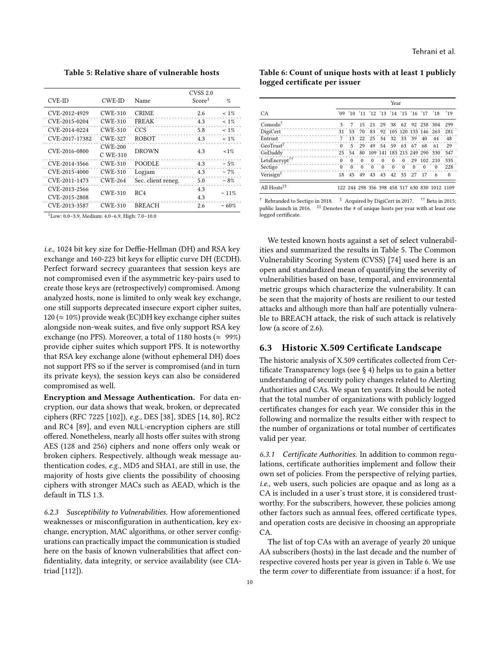<span id="page-9-0"></span>Table 5: Relative share of vulnerable hosts

| CVE-ID         | CWE-ID                       | Name               | <b>CVSS 2.0</b><br>Score <sup>1</sup> | $\%$     |
|----------------|------------------------------|--------------------|---------------------------------------|----------|
| CVE-2012-4929  | <b>CWE-310</b>               | <b>CRIME</b>       | 2.6                                   | $~1\%$   |
| CVE-2015-0204  | <b>CWE-310</b>               | <b>FREAK</b>       | 4.3                                   | $~1\%$   |
| CVE-2014-0224  | <b>CWE-310</b>               | CCS                | 5.8                                   | $~1\%$   |
| CVE-2017-17382 | <b>CWE-327</b>               | <b>ROBOT</b>       | 4.3                                   | $~1\%$   |
| CVE-2016-0800  | <b>CWE-200</b><br>$C$ WE-310 | <b>DROWN</b>       | 4.3                                   | $1\%$    |
| CVE-2014-3566  | <b>CWE-310</b>               | POODLE             | 4.3                                   | $~1.5\%$ |
| CVE-2015-4000  | CWE-310                      | Logjam             | 4.3                                   | ~17%     |
| CVE-2011-1473  | <b>CWE-264</b>               | Sec. client reneg. | 5.0                                   | $~1.8\%$ |
| CVE-2013-2566  | <b>CWE-310</b>               | RC <sub>4</sub>    | 4.3                                   | $~11\%$  |
| CVE-2015-2808  |                              |                    | 4.3                                   |          |
| CVE-2013-3587  | CWE-310                      | <b>BREACH</b>      | 2.6                                   | ~1.60%   |

<sup>1</sup>Low: 0.0–3.9, Medium: 4.0–6.9, High: 7.0–10.0

i.e., 1024 bit key size for Deffie-Hellman (DH) and RSA key exchange and 160-223 bit keys for elliptic curve DH (ECDH). Perfect forward secrecy guarantees that session keys are not compromised even if the asymmetric key-pairs used to create those keys are (retrospectively) compromised. Among analyzed hosts, none is limited to only weak key exchange, one still supports deprecated insecure export cipher suites,  $120 \approx 10\%$ ) provide weak (EC)DH key exchange cipher suites alongside non-weak suites, and five only support RSA key exchange (no PFS). Moreover, a total of 1180 hosts ( $\approx$  99%) provide cipher suites which support PFS. It is noteworthy that RSA key exchange alone (without ephemeral DH) does not support PFS so if the server is compromised (and in turn its private keys), the session keys can also be considered compromised as well.

Encryption and Message Authentication. For data encryption, our data shows that weak, broken, or deprecated ciphers (RFC 7225 [\[102\]](#page-16-16)), e.g., DES [\[38\]](#page-14-24), 3DES [\[14,](#page-14-23) [80\]](#page-16-17), RC2 and RC4 [\[89\]](#page-16-18), and even NULL-encryption ciphers are still offered. Nonetheless, nearly all hosts offer suites with strong AES (128 and 256) ciphers and none offers only weak or broken ciphers. Respectively, although weak message authentication codes, e.g., MD5 and SHA1, are still in use, the majority of hosts give clients the possibility of choosing ciphers with stronger MACs such as AEAD, which is the default in TLS 1.3.

6.2.3 Susceptibility to Vulnerabilities. How aforementioned weaknesses or misconfiguration in authentication, key exchange, encryption, MAC algorithms, or other server configurations can practically impact the communication is studied here on the basis of known vulnerabilities that affect confidentiality, data integrity, or service availability (see CIAtriad [\[112\]](#page-17-3)).

<span id="page-9-1"></span>Table 6: Count of unique hosts with at least 1 publicly logged certificate per issuer

|                                       | Year                                     |          |          |                         |          |          |          |                   |          |                                               |          |
|---------------------------------------|------------------------------------------|----------|----------|-------------------------|----------|----------|----------|-------------------|----------|-----------------------------------------------|----------|
| CA                                    |                                          |          |          |                         |          |          |          |                   |          | '09 '10 '11 '12 '13 '14 '15 '16 '17 '18 '19   |          |
| Comodo <sup>†</sup>                   | 3                                        | 7        | 15       | 21                      | 29       |          |          |                   |          | 38 62 92 238 304                              | 299      |
| DigiCert                              | 31                                       | 53       | 70       | 83                      |          |          |          |                   |          | 92 105 120 133 146 263                        | 281      |
| Entrust                               | $7\overline{ }$                          |          |          | 13 22 25 34 32 33 39 40 |          |          |          |                   |          | 44                                            | 48       |
| $\mbox{GeoTrust}^{\ddag}$             | $\overline{\mathbf{0}}$                  | 5        | 29       | 49                      |          |          |          | 54 59 63 67 68    |          | 61                                            | 29       |
| GoDaddy                               | $25 \quad 54$                            |          |          |                         |          |          |          |                   |          | 80 109 141 183 215 249 290 330                | 347      |
| LetsEncrypt <sup>††</sup><br>$\sim$ 0 |                                          | $\theta$ | $\Omega$ | $\Omega$                | $\Omega$ | $\Omega$ | $\Omega$ | 29                |          | 102 210                                       | 335      |
| Sectigo                               | $\begin{array}{ccc} & 0 & 0 \end{array}$ |          | $\theta$ | $\theta$                | $\theta$ | $\Omega$ | $\Omega$ | $\theta$          | $\Omega$ | $\Omega$                                      | 228      |
| Verisign <sup>‡</sup>                 | 18                                       | 45       | 49       |                         |          |          |          | 43 43 42 35 27 17 |          |                                               | $\Omega$ |
| All Hosts <sup>‡‡</sup>               |                                          |          |          |                         |          |          |          |                   |          | 122 244 298 356 398 458 517 630 830 1012 1109 |          |
|                                       |                                          |          |          |                         |          |          |          |                   |          |                                               |          |

 $\dagger$  Rebranded to Sectigo in 2018.  $\dagger$  Acquired by DigiCert in 2017.  $\dagger$  Beta in 2015; public launch in 2016.  $\stackrel{\textup{1}{\textup{1}}}{\textup{}}$  Denotes the # of unique hosts per year with at least one logged certificate.

We tested known hosts against a set of select vulnerabilities and summarized the results in [Table 5.](#page-9-0) The Common Vulnerability Scoring System (CVSS) [\[74\]](#page-16-19) used here is an open and standardized mean of quantifying the severity of vulnerabilities based on base, temporal, and environmental metric groups which characterize the vulnerability. It can be seen that the majority of hosts are resilient to our tested attacks and although more than half are potentially vulnerable to BREACH attack, the risk of such attack is relatively low (a score of 2.6).

#### 6.3 Historic X.509 Certificate Landscape

The historic analysis of X.509 certificates collected from Certificate Transparency logs (see § [4\)](#page-4-0) helps us to gain a better understanding of security policy changes related to Alerting Authorities and CAs. We span ten years. It should be noted that the total number of organizations with publicly logged certificates changes for each year. We consider this in the following and normalize the results either with respect to the number of organizations or total number of certificates valid per year.

6.3.1 Certificate Authorities. In addition to common regulations, certificate authorities implement and follow their own set of policies. From the perspective of relying parties, i.e., web users, such policies are opaque and as long as a CA is included in a user's trust store, it is considered trustworthy. For the subscribers, however, these policies among other factors such as annual fees, offered certificate types, and operation costs are decisive in choosing an appropriate CA.

The list of top CAs with an average of yearly 20 unique AA subscribers (hosts) in the last decade and the number of respective covered hosts per year is given in [Table 6.](#page-9-1) We use the term cover to differentiate from issuance: if a host, for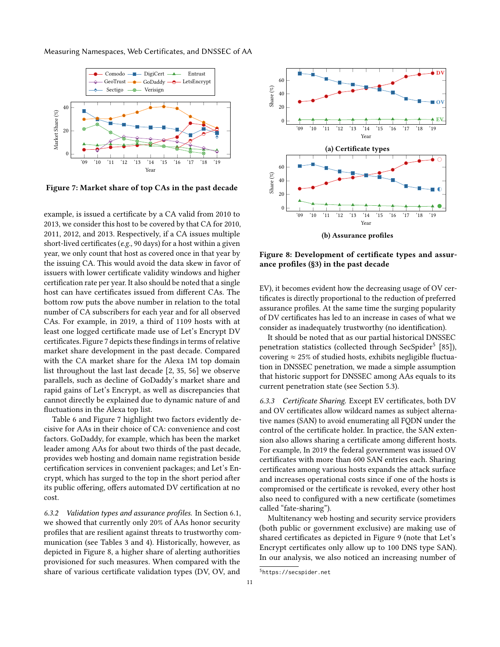Measuring Namespaces, Web Certificates, and DNSSEC of AA

<span id="page-10-0"></span>

Figure 7: Market share of top CAs in the past decade

example, is issued a certificate by a CA valid from 2010 to 2013, we consider this host to be covered by that CA for 2010, 2011, 2012, and 2013. Respectively, if a CA issues multiple short-lived certificates (e.g., 90 days) for a host within a given year, we only count that host as covered once in that year by the issuing CA. This would avoid the data skew in favor of issuers with lower certificate validity windows and higher certification rate per year. It also should be noted that a single host can have certificates issued from different CAs. The bottom row puts the above number in relation to the total number of CA subscribers for each year and for all observed CAs. For example, in 2019, a third of 1109 hosts with at least one logged certificate made use of Let's Encrypt DV certificates. [Figure 7](#page-10-0) depicts these findings in terms of relative market share development in the past decade. Compared with the CA market share for the Alexa 1M top domain list throughout the last last decade [\[2,](#page-13-2) [35,](#page-14-18) [56\]](#page-15-17) we observe parallels, such as decline of GoDaddy's market share and rapid gains of Let's Encrypt, as well as discrepancies that cannot directly be explained due to dynamic nature of and fluctuations in the Alexa top list.

[Table 6](#page-9-1) and [Figure 7](#page-10-0) highlight two factors evidently decisive for AAs in their choice of CA: convenience and cost factors. GoDaddy, for example, which has been the market leader among AAs for about two thirds of the past decade, provides web hosting and domain name registration beside certification services in convenient packages; and Let's Encrypt, which has surged to the top in the short period after its public offering, offers automated DV certification at no cost.

6.3.2 Validation types and assurance profiles. In [Section 6.1,](#page-7-3) we showed that currently only 20% of AAs honor security profiles that are resilient against threats to trustworthy communication (see Tables [3](#page-8-0) and [4\)](#page-8-1). Historically, however, as depicted in [Figure 8,](#page-10-1) a higher share of alerting authorities provisioned for such measures. When compared with the share of various certificate validation types (DV, OV, and

<span id="page-10-1"></span>

Figure 8: Development of certificate types and assurance profiles ([§3\)](#page-2-0) in the past decade

EV), it becomes evident how the decreasing usage of OV certificates is directly proportional to the reduction of preferred assurance profiles. At the same time the surging popularity of DV certificates has led to an increase in cases of what we consider as inadequately trustworthy (no identification).

It should be noted that as our partial historical DNSSEC penetration statistics (collected through SecSpider<sup>[5](#page-10-2)</sup> [\[85\]](#page-16-4)), covering  $\approx$  25% of studied hosts, exhibits negligible fluctuation in DNSSEC penetration, we made a simple assumption that historic support for DNSSEC among AAs equals to its current penetration state (see [Section 5.3\)](#page-7-4).

6.3.3 Certificate Sharing. Except EV certificates, both DV and OV certificates allow wildcard names as subject alternative names (SAN) to avoid enumerating all FQDN under the control of the certificate holder. In practice, the SAN extension also allows sharing a certificate among different hosts. For example, In 2019 the federal government was issued OV certificates with more than 600 SAN entries each. Sharing certificates among various hosts expands the attack surface and increases operational costs since if one of the hosts is compromised or the certificate is revoked, every other host also need to configured with a new certificate (sometimes called "fate-sharing").

Multitenancy web hosting and security service providers (both public or government exclusive) are making use of shared certificates as depicted in [Figure 9](#page-11-0) (note that Let's Encrypt certificates only allow up to 100 DNS type SAN). In our analysis, we also noticed an increasing number of

<span id="page-10-2"></span><sup>5</sup><https://secspider.net>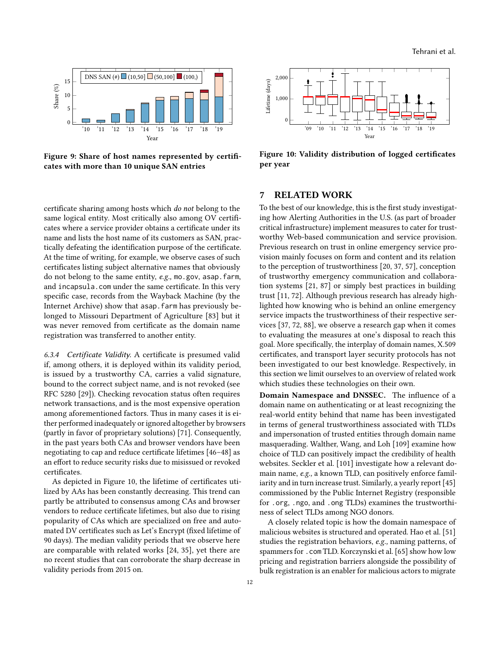<span id="page-11-0"></span>

Figure 9: Share of host names represented by certificates with more than 10 unique SAN entries

certificate sharing among hosts which do not belong to the same logical entity. Most critically also among OV certificates where a service provider obtains a certificate under its name and lists the host name of its customers as SAN, practically defeating the identification purpose of the certificate. At the time of writing, for example, we observe cases of such certificates listing subject alternative names that obviously do not belong to the same entity, e.g., mo.gov, asap.farm, and incapsula.com under the same certificate. In this very specific case, records from the Wayback Machine (by the Internet Archive) show that asap.farm has previously belonged to Missouri Department of Agriculture [\[83\]](#page-16-20) but it was never removed from certificate as the domain name registration was transferred to another entity.

6.3.4 Certificate Validity. A certificate is presumed valid if, among others, it is deployed within its validity period, is issued by a trustworthy CA, carries a valid signature, bound to the correct subject name, and is not revoked (see RFC 5280 [\[29\]](#page-14-12)). Checking revocation status often requires network transactions, and is the most expensive operation among aforementioned factors. Thus in many cases it is either performed inadequately or ignored altogether by browsers (partly in favor of proprietary solutions) [\[71\]](#page-15-18). Consequently, in the past years both CAs and browser vendors have been negotiating to cap and reduce certificate lifetimes [\[46](#page-15-19)[–48\]](#page-15-20) as an effort to reduce security risks due to misissued or revoked certificates.

As depicted in [Figure 10,](#page-11-1) the lifetime of certificates utilized by AAs has been constantly decreasing. This trend can partly be attributed to consensus among CAs and browser vendors to reduce certificate lifetimes, but also due to rising popularity of CAs which are specialized on free and automated DV certificates such as Let's Encrypt (fixed lifetime of 90 days). The median validity periods that we observe here are comparable with related works [\[24,](#page-14-17) [35\]](#page-14-18), yet there are no recent studies that can corroborate the sharp decrease in validity periods from 2015 on.

<span id="page-11-1"></span>

Figure 10: Validity distribution of logged certificates per year

# 7 RELATED WORK

To the best of our knowledge, this is the first study investigating how Alerting Authorities in the U.S. (as part of broader critical infrastructure) implement measures to cater for trustworthy Web-based communication and service provision. Previous research on trust in online emergency service provision mainly focuses on form and content and its relation to the perception of trustworthiness [\[20,](#page-14-25) [37,](#page-14-3) [57\]](#page-15-21), conception of trustworthy emergency communication and collaboration systems [\[21,](#page-14-26) [87\]](#page-16-21) or simply best practices in building trust [\[11,](#page-14-0) [72\]](#page-15-5). Although previous research has already highlighted how knowing who is behind an online emergency service impacts the trustworthiness of their respective services [\[37,](#page-14-3) [72,](#page-15-5) [88\]](#page-16-22), we observe a research gap when it comes to evaluating the measures at one's disposal to reach this goal. More specifically, the interplay of domain names, X.509 certificates, and transport layer security protocols has not been investigated to our best knowledge. Respectively, in this section we limit ourselves to an overview of related work which studies these technologies on their own.

Domain Namespace and DNSSEC. The influence of a domain name on authenticating or at least recognizing the real-world entity behind that name has been investigated in terms of general trustworthiness associated with TLDs and impersonation of trusted entities through domain name masquerading. Walther, Wang, and Loh [\[109\]](#page-17-4) examine how choice of TLD can positively impact the credibility of health websites. Seckler et al. [\[101\]](#page-16-23) investigate how a relevant domain name, e.g., a known TLD, can positively enforce familiarity and in turn increase trust. Similarly, a yearly report [\[45\]](#page-15-22) commissioned by the Public Internet Registry (responsible for .org, .ngo, and .ong TLDs) examines the trustworthiness of select TLDs among NGO donors.

A closely related topic is how the domain namespace of malicious websites is structured and operated. Hao et al. [\[51\]](#page-15-23) studies the registration behaviors, e.g., naming patterns, of spammers for .com TLD. Korczynski et al. [\[65\]](#page-15-24) show how low pricing and registration barriers alongside the possibility of bulk registration is an enabler for malicious actors to migrate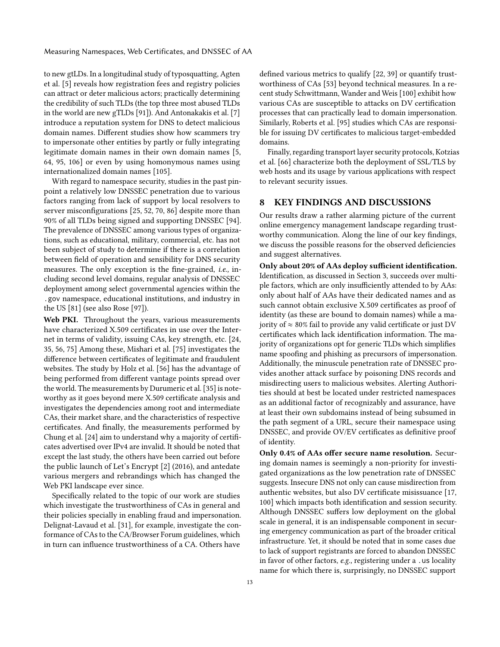to new gtLDs. In a longitudinal study of typosquatting, Agten et al. [\[5\]](#page-14-27) reveals how registration fees and registry policies can attract or deter malicious actors; practically determining the credibility of such TLDs (the top three most abused TLDs in the world are new gTLDs [\[91\]](#page-16-24)). And Antonakakis et al. [\[7\]](#page-14-28) introduce a reputation system for DNS to detect malicious domain names. Different studies show how scammers try to impersonate other entities by partly or fully integrating legitimate domain names in their own domain names [\[5,](#page-14-27) [64,](#page-15-25) [95,](#page-16-25) [106\]](#page-16-26) or even by using homonymous names using internationalized domain names [\[105\]](#page-16-27).

With regard to namespace security, studies in the past pinpoint a relatively low DNSSEC penetration due to various factors ranging from lack of support by local resolvers to server misconfigurations [\[25,](#page-14-16) [52,](#page-15-26) [70,](#page-15-27) [86\]](#page-16-28) despite more than 90% of all TLDs being signed and supporting DNSSEC [\[94\]](#page-16-29). The prevalence of DNSSEC among various types of organizations, such as educational, military, commercial, etc. has not been subject of study to determine if there is a correlation between field of operation and sensibility for DNS security measures. The only exception is the fine-grained, i.e., including second level domains, regular analysis of DNSSEC deployment among select governmental agencies within the .gov namespace, educational institutions, and industry in the US [\[81\]](#page-16-11) (see also Rose [\[97\]](#page-16-30)).

Web PKI. Throughout the years, various measurements have characterized X.509 certificates in use over the Internet in terms of validity, issuing CAs, key strength, etc. [\[24,](#page-14-17) [35,](#page-14-18) [56,](#page-15-17) [75\]](#page-16-31) Among these, Mishari et al. [\[75\]](#page-16-31) investigates the difference between certificates of legitimate and fraudulent websites. The study by Holz et al. [\[56\]](#page-15-17) has the advantage of being performed from different vantage points spread over the world. The measurements by Durumeric et al. [\[35\]](#page-14-18) is noteworthy as it goes beyond mere X.509 certificate analysis and investigates the dependencies among root and intermediate CAs, their market share, and the characteristics of respective certificates. And finally, the measurements performed by Chung et al. [\[24\]](#page-14-17) aim to understand why a majority of certificates advertised over IPv4 are invalid. It should be noted that except the last study, the others have been carried out before the public launch of Let's Encrypt [\[2\]](#page-13-2) (2016), and antedate various mergers and rebrandings which has changed the Web PKI landscape ever since.

Specifically related to the topic of our work are studies which investigate the trustworthiness of CAs in general and their policies specially in enabling fraud and impersonation. Delignat-Lavaud et al. [\[31\]](#page-14-29), for example, investigate the conformance of CAs to the CA/Browser Forum guidelines, which in turn can influence trustworthiness of a CA. Others have

defined various metrics to qualify [\[22,](#page-14-30) [39\]](#page-14-31) or quantify trustworthiness of CAs [\[53\]](#page-15-28) beyond technical measures. In a recent study Schwittmann, Wander and Weis [\[100\]](#page-16-32) exhibit how various CAs are susceptible to attacks on DV certification processes that can practically lead to domain impersonation. Similarly, Roberts et al. [\[95\]](#page-16-25) studies which CAs are responsible for issuing DV certificates to malicious target-embedded domains.

Finally, regarding transport layer security protocols, Kotzias et al. [\[66\]](#page-15-29) characterize both the deployment of SSL/TLS by web hosts and its usage by various applications with respect to relevant security issues.

## 8 KEY FINDINGS AND DISCUSSIONS

Our results draw a rather alarming picture of the current online emergency management landscape regarding trustworthy communication. Along the line of our key findings, we discuss the possible reasons for the observed deficiencies and suggest alternatives.

Only about 20% of AAs deploy sufficient identification. Identification, as discussed in [Section 3,](#page-2-0) succeeds over multiple factors, which are only insufficiently attended to by AAs: only about half of AAs have their dedicated names and as such cannot obtain exclusive X.509 certificates as proof of identity (as these are bound to domain names) while a majority of  $\approx 80\%$  fail to provide any valid certificate or just DV certificates which lack identification information. The majority of organizations opt for generic TLDs which simplifies name spoofing and phishing as precursors of impersonation. Additionally, the minuscule penetration rate of DNSSEC provides another attack surface by poisoning DNS records and misdirecting users to malicious websites. Alerting Authorities should at best be located under restricted namespaces as an additional factor of recognizably and assurance, have at least their own subdomains instead of being subsumed in the path segment of a URL, secure their namespace using DNSSEC, and provide OV/EV certificates as definitive proof of identity.

Only 0.4% of AAs offer secure name resolution. Securing domain names is seemingly a non-priority for investigated organizations as the low penetration rate of DNSSEC suggests. Insecure DNS not only can cause misdirection from authentic websites, but also DV certificate misissuance [\[17,](#page-14-13) [100\]](#page-16-32) which impacts both identification and session security. Although DNSSEC suffers low deployment on the global scale in general, it is an indispensable component in securing emergency communication as part of the broader critical infrastructure. Yet, it should be noted that in some cases due to lack of support registrants are forced to abandon DNSSEC in favor of other factors, e.g., registering under a .us locality name for which there is, surprisingly, no DNSSEC support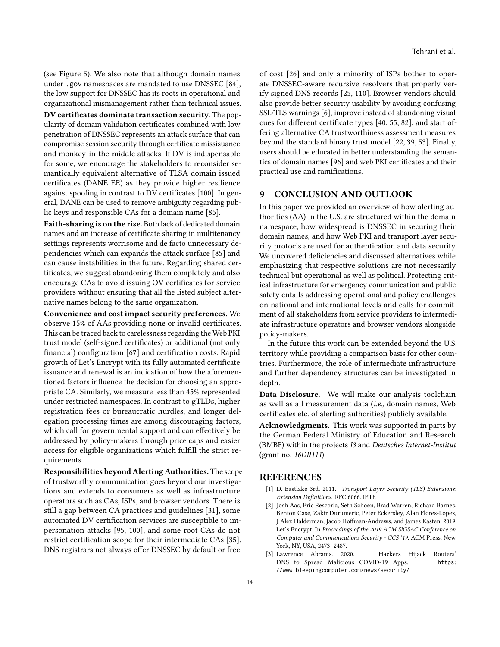(see [Figure 5\)](#page-7-2). We also note that although domain names under .gov namespaces are mandated to use DNSSEC [\[84\]](#page-16-10), the low support for DNSSEC has its roots in operational and organizational mismanagement rather than technical issues.

DV certificates dominate transaction security. The popularity of domain validation certificates combined with low penetration of DNSSEC represents an attack surface that can compromise session security through certificate missisuance and monkey-in-the-middle attacks. If DV is indispensable for some, we encourage the stakeholders to reconsider semantically equivalent alternative of TLSA domain issued certificates (DANE EE) as they provide higher resilience against spoofing in contrast to DV certificates [\[100\]](#page-16-32). In general, DANE can be used to remove ambiguity regarding public keys and responsible CAs for a domain name [\[85\]](#page-16-4).

Faith-sharing is on the rise. Both lack of dedicated domain names and an increase of certificate sharing in multitenancy settings represents worrisome and de facto unnecessary dependencies which can expands the attack surface [\[85\]](#page-16-4) and can cause instabilities in the future. Regarding shared certificates, we suggest abandoning them completely and also encourage CAs to avoid issuing OV certificates for service providers without ensuring that all the listed subject alternative names belong to the same organization.

Convenience and cost impact security preferences. We observe 15% of AAs providing none or invalid certificates. This can be traced back to carelessness regarding the Web PKI trust model (self-signed certificates) or additional (not only financial) configuration [\[67\]](#page-15-30) and certification costs. Rapid growth of Let's Encrypt with its fully automated certificate issuance and renewal is an indication of how the aforementioned factors influence the decision for choosing an appropriate CA. Similarly, we measure less than 45% represented under restricted namespaces. In contrast to gTLDs, higher registration fees or bureaucratic hurdles, and longer delegation processing times are among discouraging factors, which call for governmental support and can effectively be addressed by policy-makers through price caps and easier access for eligible organizations which fulfill the strict requirements.

Responsibilities beyond Alerting Authorities. The scope of trustworthy communication goes beyond our investigations and extends to consumers as well as infrastructure operators such as CAs, ISPs, and browser vendors. There is still a gap between CA practices and guidelines [\[31\]](#page-14-29), some automated DV certification services are susceptible to impersonation attacks [\[95,](#page-16-25) [100\]](#page-16-32), and some root CAs do not restrict certification scope for their intermediate CAs [\[35\]](#page-14-18). DNS registrars not always offer DNSSEC by default or free

of cost [\[26\]](#page-14-32) and only a minority of ISPs bother to operate DNSSEC-aware recursive resolvers that properly verify signed DNS records [\[25,](#page-14-16) [110\]](#page-17-5). Browser vendors should also provide better security usability by avoiding confusing SSL/TLS warnings [\[6\]](#page-14-33), improve instead of abandoning visual cues for different certificate types [\[40,](#page-15-31) [55,](#page-15-32) [82\]](#page-16-33), and start offering alternative CA trustworthiness assessment measures beyond the standard binary trust model [\[22,](#page-14-30) [39,](#page-14-31) [53\]](#page-15-28). Finally, users should be educated in better understanding the semantics of domain names [\[96\]](#page-16-34) and web PKI certificates and their practical use and ramifications.

## 9 CONCLUSION AND OUTLOOK

In this paper we provided an overview of how alerting authorities (AA) in the U.S. are structured within the domain namespace, how widespread is DNSSEC in securing their domain names, and how Web PKI and transport layer security protocls are used for authentication and data security. We uncovered deficiencies and discussed alternatives while emphasizing that respective solutions are not necessarily technical but operational as well as political. Protecting critical infrastructure for emergency communication and public safety entails addressing operational and policy challenges on national and international levels and calls for commitment of all stakeholders from service providers to intermediate infrastructure operators and browser vendors alongside policy-makers.

In the future this work can be extended beyond the U.S. territory while providing a comparison basis for other countries. Furthermore, the role of intermediate infrastructure and further dependency structures can be investigated in depth.

Data Disclosure. We will make our analysis toolchain as well as all measurement data (i.e., domain names, Web certificates etc. of alerting authorities) publicly available.

Acknowledgments. This work was supported in parts by the German Federal Ministry of Education and Research (BMBF) within the projects I3 and Deutsches Internet-Institut (grant no. 16DII111).

#### REFERENCES

- <span id="page-13-1"></span>[1] D. Eastlake 3rd. 2011. Transport Layer Security (TLS) Extensions: Extension Definitions. RFC 6066. IETF.
- <span id="page-13-2"></span>[2] Josh Aas, Eric Rescorla, Seth Schoen, Brad Warren, Richard Barnes, Benton Case, Zakir Durumeric, Peter Eckersley, Alan Flores-López, J Alex Halderman, Jacob Hoffman-Andrews, and James Kasten. 2019. Let's Encrypt. In Proceedings of the 2019 ACM SIGSAC Conference on Computer and Communications Security - CCS '19. ACM Press, New York, NY, USA, 2473–2487.
- <span id="page-13-0"></span>[3] Lawrence Abrams. 2020. Hackers Hijack Routers' DNS to Spread Malicious COVID-19 Apps. [https:](https://www.bleepingcomputer.com/news/security/hackers-hijack-routers-dns-to-spread-malicious-covid-19-apps/) [//www.bleepingcomputer.com/news/security/](https://www.bleepingcomputer.com/news/security/hackers-hijack-routers-dns-to-spread-malicious-covid-19-apps/)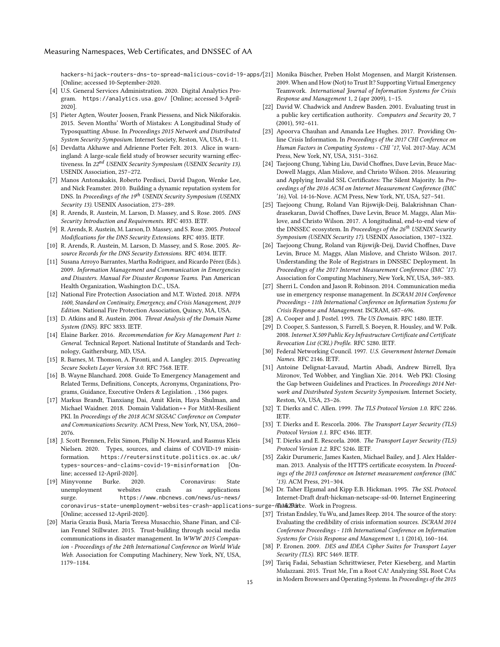[hackers-hijack-routers-dns-to-spread-malicious-covid-19-apps/](https://www.bleepingcomputer.com/news/security/hackers-hijack-routers-dns-to-spread-malicious-covid-19-apps/) [21] Monika Büscher, Preben Holst Mogensen, and Margit Kristensen. [Online; accessed 10-September-2020.

- <span id="page-14-4"></span>[4] U.S. General Services Administration. 2020. Digital Analytics Program. <https://analytics.usa.gov/> [Online; accessed 3-April-2020].
- <span id="page-14-27"></span>[5] Pieter Agten, Wouter Joosen, Frank Piessens, and Nick Nikiforakis. 2015. Seven Months' Worth of Mistakes: A Longitudinal Study of Typosquatting Abuse. In Proceedings 2015 Network and Distributed System Security Symposium. Internet Society, Reston, VA, USA, 8–11.
- <span id="page-14-33"></span>[6] Devdatta Akhawe and Adrienne Porter Felt. 2013. Alice in warningland: A large-scale field study of browser security warning effectiveness. In 22<sup>nd</sup> USENIX Security Symposium (USENIX Security 13). USENIX Association, 257–272.
- <span id="page-14-28"></span>[7] Manos Antonakakis, Roberto Perdisci, David Dagon, Wenke Lee, and Nick Feamster. 2010. Building a dynamic reputation system for DNS. In Proceedings of the 19<sup>th</sup> USENIX Security Symposium (USENIX Security 13). USENIX Association, 273–289.
- <span id="page-14-7"></span>[8] R. Arends, R. Austein, M. Larson, D. Massey, and S. Rose. 2005. DNS Security Introduction and Requirements. RFC 4033. IETF.
- [9] R. Arends, R. Austein, M. Larson, D. Massey, and S. Rose. 2005. Protocol Modifications for the DNS Security Extensions. RFC 4035. IETF.
- <span id="page-14-8"></span>[10] R. Arends, R. Austein, M. Larson, D. Massey, and S. Rose. 2005. Resource Records for the DNS Security Extensions. RFC 4034. IETF.
- <span id="page-14-0"></span>[11] Susana Arroyo Barrantes, Martha Rodriguez, and Ricardo Pérez (Eds.). 2009. Information Management and Communication in Emergencies and Disasters. Manual For Disaster Response Teams. Pan American Health Organization, Washington D.C., USA.
- <span id="page-14-9"></span>[12] National Fire Protection Association and M.T. Wixted. 2018. NFPA 1600, Standard on Continuity, Emergency, and Crisis Management, 2019 Edition. National Fire Protection Association, Quincy, MA, USA.
- <span id="page-14-11"></span>[13] D. Atkins and R. Austein. 2004. Threat Analysis of the Domain Name System (DNS). RFC 3833. IETF.
- <span id="page-14-23"></span>[14] Elaine Barker. 2016. Recommendation for Key Management Part 1: General. Technical Report. National Institute of Standards and Technology, Gaithersburg, MD, USA.
- <span id="page-14-21"></span>[15] R. Barnes, M. Thomson, A. Pironti, and A. Langley. 2015. Deprecating Secure Sockets Layer Version 3.0. RFC 7568. IETF.
- <span id="page-14-10"></span>[16] B. Wayne Blanchard. 2008. Guide To Emergency Management and Related Terms, Definitions, Concepts, Acronyms, Organizations, Programs, Guidance, Executive Orders & Legislation. , 1366 pages.
- <span id="page-14-13"></span>[17] Markus Brandt, Tianxiang Dai, Amit Klein, Haya Shulman, and Michael Waidner. 2018. Domain Validation++ For MitM-Resilient PKI. In Proceedings of the 2018 ACM SIGSAC Conference on Computer and Communications Security. ACM Press, New York, NY, USA, 2060– 2076.
- <span id="page-14-6"></span>[18] J. Scott Brennen, Felix Simon, Philip N. Howard, and Rasmus Kleis Nielsen. 2020. Types, sources, and claims of COVID-19 misinformation. [https://reutersinstitute.politics.ox.ac.uk/](https://reutersinstitute.politics.ox.ac.uk/types-sources-and-claims-covid-19-misinformation) [types-sources-and-claims-covid-19-misinformation](https://reutersinstitute.politics.ox.ac.uk/types-sources-and-claims-covid-19-misinformation) [Online; accessed 12-April-2020].
- <span id="page-14-5"></span>[19] Minyvonne Burke. 2020. Coronavirus: State unemployment websites crash as applications surge. [https://www.nbcnews.com/news/us-news/](https://www.nbcnews.com/news/us-news/coronavirus-state-unemployment-websites-crash-applications-surge-n1162731) coronavirus-state-unemployment-websites-crash-applications-surge-nlabrande. Work in Progress. [Online; accessed 12-April-2020].
- <span id="page-14-25"></span>[20] Maria Grazia Busà, Maria Teresa Musacchio, Shane Finan, and Cilian Fennel Stillwater. 2015. Trust-building through social media communications in disaster management. In WWW 2015 Companion - Proceedings of the 24th International Conference on World Wide Web. Association for Computing Machinery, New York, NY, USA, 1179–1184.
- <span id="page-14-26"></span>2009. When and How (Not) to Trust It? Supporting Virtual Emergency Teamwork. International Journal of Information Systems for Crisis Response and Management 1, 2 (apr 2009), 1–15.
- <span id="page-14-30"></span>[22] David W. Chadwick and Andrew Basden. 2001. Evaluating trust in a public key certification authority. Computers and Security 20, 7 (2001), 592–611.
- <span id="page-14-1"></span>[23] Apoorva Chauhan and Amanda Lee Hughes. 2017. Providing Online Crisis Information. In Proceedings of the 2017 CHI Conference on Human Factors in Computing Systems - CHI '17, Vol. 2017-May. ACM Press, New York, NY, USA, 3151–3162.
- <span id="page-14-17"></span>[24] Taejoong Chung, Yabing Liu, David Choffnes, Dave Levin, Bruce Mac-Dowell Maggs, Alan Mislove, and Christo Wilson. 2016. Measuring and Applying Invalid SSL Certificates: The Silent Majority. In Proceedings of the 2016 ACM on Internet Measurement Conference (IMC '16), Vol. 14-16-Nove. ACM Press, New York, NY, USA, 527–541.
- <span id="page-14-16"></span>[25] Taejoong Chung, Roland Van Rijswijk-Deij, Balakrishnan Chandrasekaran, David Choffnes, Dave Levin, Bruce M. Maggs, Alan Mislove, and Christo Wilson. 2017. A longitudinal, end-to-end view of the DNSSEC ecosystem. In Proceedings of the  $26^{th}$  USENIX Security Symposium (USENIX Security 17). USENIX Association, 1307–1322.
- <span id="page-14-32"></span>[26] Taejoong Chung, Roland van Rijswijk-Deij, David Choffnes, Dave Levin, Bruce M. Maggs, Alan Mislove, and Christo Wilson. 2017. Understanding the Role of Registrars in DNSSEC Deployment. In Proceedings of the 2017 Internet Measurement Conference (IMC '17). Association for Computing Machinery, New York, NY, USA, 369–383.
- <span id="page-14-2"></span>[27] Sherri L. Condon and Jason R. Robinson. 2014. Communication media use in emergency response management. In ISCRAM 2014 Conference Proceedings - 11th International Conference on Information Systems for Crisis Response and Management. ISCRAM, 687–696.
- <span id="page-14-14"></span>[28] A. Cooper and J. Postel. 1993. The US Domain. RFC 1480. IETF.
- <span id="page-14-12"></span>[29] D. Cooper, S. Santesson, S. Farrell, S. Boeyen, R. Housley, and W. Polk. 2008. Internet X.509 Public Key Infrastructure Certificate and Certificate Revocation List (CRL) Profile. RFC 5280. IETF.
- <span id="page-14-15"></span>[30] Federal Networking Council. 1997. U.S. Government Internet Domain Names. RFC 2146. IETF.
- <span id="page-14-29"></span>[31] Antoine Delignat-Lavaud, Martín Abadi, Andrew Birrell, Ilya Mironov, Ted Wobber, and Yinglian Xie. 2014. Web PKI: Closing the Gap between Guidelines and Practices. In Proceedings 2014 Network and Distributed System Security Symposium. Internet Society, Reston, VA, USA, 23–26.
- <span id="page-14-19"></span>[32] T. Dierks and C. Allen. 1999. The TLS Protocol Version 1.0. RFC 2246. **IETF**
- [33] T. Dierks and E. Rescorla. 2006. The Transport Layer Security (TLS) Protocol Version 1.1. RFC 4346. IETF.
- <span id="page-14-20"></span>[34] T. Dierks and E. Rescorla. 2008. The Transport Layer Security (TLS) Protocol Version 1.2. RFC 5246. IETF.
- <span id="page-14-18"></span>[35] Zakir Durumeric, James Kasten, Michael Bailey, and J. Alex Halderman. 2013. Analysis of the HTTPS certificate ecosystem. In Proceedings of the 2013 conference on Internet measurement conference (IMC '13). ACM Press, 291–304.
- <span id="page-14-22"></span>[36] Dr. Taher Elgamal and Kipp E.B. Hickman. 1995. The SSL Protocol. Internet-Draft draft-hickman-netscape-ssl-00. Internet Engineering
- <span id="page-14-3"></span>[37] Tristan Endsley, Yu Wu, and James Reep. 2014. The source of the story: Evaluating the credibility of crisis information sources. ISCRAM 2014 Conference Proceedings - 11th International Conference on Information Systems for Crisis Response and Management 1, 1 (2014), 160–164.
- <span id="page-14-31"></span><span id="page-14-24"></span>[38] P. Eronen. 2009. DES and IDEA Cipher Suites for Transport Layer Security (TLS). RFC 5469. IETF.
- [39] Tariq Fadai, Sebastian Schrittwieser, Peter Kieseberg, and Martin Mulazzani. 2015. Trust Me, I'm a Root CA! Analyzing SSL Root CAs in Modern Browsers and Operating Systems. In Proceedings of the 2015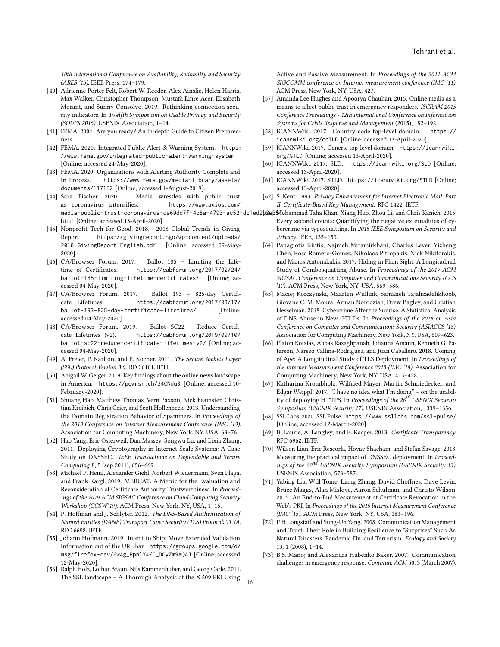10th International Conference on Availability, Reliability and Security (ARES '15). IEEE Press, 174–179.

- <span id="page-15-31"></span>[40] Adrienne Porter Felt, Robert W. Reeder, Alex Ainslie, Helen Harris, Max Walker, Christopher Thompson, Mustafa Emre Acer, Elisabeth Morant, and Sunny Consolvo. 2019. Rethinking connection security indicators. In Twelfth Symposium on Usable Privacy and Security (SOUPS 2016). USENIX Association, 1–14.
- <span id="page-15-1"></span>[41] FEMA. 2004. Are you ready? An In-depth Guide to Citizen Preparedness.
- <span id="page-15-6"></span>[42] FEMA. 2020. Integrated Public Alert & Warning System. [https:](https://www.fema.gov/integrated-public-alert-warning-system) [//www.fema.gov/integrated-public-alert-warning-system](https://www.fema.gov/integrated-public-alert-warning-system) [Online; accessed 24-May-2020].
- <span id="page-15-4"></span>[43] FEMA. 2020. Organizations with Alerting Authority Complete and In Process. [https://www.fema.gov/media-library/assets/](https://www.fema.gov/media-library/assets/documents/117152) [documents/117152](https://www.fema.gov/media-library/assets/documents/117152) [Online; accessed 1-August-2019].
- <span id="page-15-3"></span>[44] Sara Fischer. 2020. Media wrestles with public trust as coronavirus intensifies. [https://www.axios.com/](https://www.axios.com/media-public-trust-coronavirus-da69dd7f-4b8a-4793-ac52-dc1ed2c3e35f.html) [html](https://www.axios.com/media-public-trust-coronavirus-da69dd7f-4b8a-4793-ac52-dc1ed2c3e35f.html) [Online; accessed 13-April-2020].
- <span id="page-15-22"></span>[45] Nonprofit Tech for Good. 2018. 2018 Global Trends in Giving Report. [https://givingreport.ngo/wp-content/uploads/](https://givingreport.ngo/wp-content/uploads/2018-GivingReport-English.pdf) [2018-GivingReport-English.pdf](https://givingreport.ngo/wp-content/uploads/2018-GivingReport-English.pdf) [Online; accessed 09-May-2020].
- <span id="page-15-19"></span>[46] CA/Browser Forum. 2017. Ballot 185 - Limiting the Lifetime of Certificates. [https://cabforum.org/2017/02/24/](https://cabforum.org/2017/02/24/ballot-185-limiting-lifetime-certificates/) [ballot-185-limiting-lifetime-certificates/](https://cabforum.org/2017/02/24/ballot-185-limiting-lifetime-certificates/) [Online; accessed 04-May-2020].
- [47] CA/Browser Forum. 2017. Ballot 193 825-day Certificate Lifetimes. [https://cabforum.org/2017/03/17/](https://cabforum.org/2017/03/17/ballot-193-825-day-certificate-lifetimes/) [ballot-193-825-day-certificate-lifetimes/](https://cabforum.org/2017/03/17/ballot-193-825-day-certificate-lifetimes/) [Online; accessed 04-May-2020].
- <span id="page-15-20"></span>[48] CA/Browser Forum. 2019. Ballot SC22 – Reduce Certificate Lifetimes (v2). [https://cabforum.org/2019/09/10/](https://cabforum.org/2019/09/10/ballot-sc22-reduce-certificate-lifetimes-v2/) [ballot-sc22-reduce-certificate-lifetimes-v2/](https://cabforum.org/2019/09/10/ballot-sc22-reduce-certificate-lifetimes-v2/) [Online; accessed 04-May-2020].
- <span id="page-15-15"></span>[49] A. Freier, P. Karlton, and P. Kocher. 2011. The Secure Sockets Layer (SSL) Protocol Version 3.0. RFC 6101. IETF.
- <span id="page-15-0"></span>[50] Abigail W. Geiger. 2019. Key findings about the online news landscape in America. <https://pewrsr.ch/34CNdu3> [Online; accessed 10- February-2020].
- <span id="page-15-23"></span><span id="page-15-16"></span>[51] Shuang Hao, Matthew Thomas, Vern Paxson, Nick Feamster, Christian Kreibich, Chris Grier, and Scott Hollenbeck. 2013. Understanding the Domain Registration Behavior of Spammers. In Proceedings of the 2013 Conference on Internet Measurement Conference (IMC '13). Association for Computing Machinery, New York, NY, USA, 63–76.
- <span id="page-15-27"></span><span id="page-15-26"></span><span id="page-15-8"></span>[52] Hao Yang, Eric Osterweil, Dan Massey, Songwu Lu, and Lixia Zhang. 2011. Deploying Cryptography in Internet-Scale Systems: A Case Study on DNSSEC. IEEE Transactions on Dependable and Secure Computing 8, 5 (sep 2011), 656–669.
- <span id="page-15-28"></span><span id="page-15-18"></span>[53] Michael P. Heinl, Alexander Giehl, Norbert Wiedermann, Sven Plaga, and Frank Kargl. 2019. MERCAT: A Metric for the Evaluation and Reconsideration of Certificate Authority Trustworthiness. In Proceedings of the 2019 ACM SIGSAC Conference on Cloud Computing Security Workshop (CCSW'19). ACM Press, New York, NY, USA, 1–15.
- <span id="page-15-9"></span><span id="page-15-5"></span>[54] P. Hoffman and J. Schlyter. 2012. The DNS-Based Authentication of Named Entities (DANE) Transport Layer Security (TLS) Protocol: TLSA. RFC 6698. IETF.
- <span id="page-15-32"></span><span id="page-15-2"></span>[55] Johann Hofmann. 2019. Intent to Ship: Move Extended Validation Information out of the URL bar. [https://groups.google.com/d/](https://groups.google.com/d/msg/firefox-dev/6wAg_PpnlY4/C_DCyZm9AQAJ) [msg/firefox-dev/6wAg\\_PpnlY4/C\\_DCyZm9AQAJ](https://groups.google.com/d/msg/firefox-dev/6wAg_PpnlY4/C_DCyZm9AQAJ) [Online; accessed 12-May-2020].
- <span id="page-15-17"></span>[56] Ralph Holz, Lothar Braun, Nils Kammenhuber, and Georg Carle. 2011. The SSL landscape – A Thorough Analysis of the X.509 PKI Using

Active and Passive Measurement. In Proceedings of the 2011 ACM SIGCOMM conference on Internet measurement conference (IMC '11). ACM Press, New York, NY, USA, 427.

- <span id="page-15-21"></span>[57] Amanda Lee Hughes and Apoorva Chauhan. 2015. Online media as a means to affect public trust in emergency responders. ISCRAM 2015 Conference Proceedings - 12th International Conference on Information Systems for Crisis Response and Management (2015), 182–192.
- <span id="page-15-12"></span>[58] ICANNWiki. 2017. Country code top-level domain. [https://](https://icannwiki.org/ccTLD) [icannwiki.org/ccTLD](https://icannwiki.org/ccTLD) [Online; accessed 13-April-2020].
- <span id="page-15-11"></span>[59] ICANNWiki. 2017. Generic top-level domain. [https://icannwiki.](https://icannwiki.org/GTLD) [org/GTLD](https://icannwiki.org/GTLD) [Online; accessed 13-April-2020].
- <span id="page-15-13"></span>[60] ICANNWiki. 2017. SLD. <https://icannwiki.org/SLD> [Online; accessed 13-April-2020].
- <span id="page-15-14"></span>[61] ICANNWiki. 2017. STLD. <https://icannwiki.org/STLD> [Online; accessed 13-April-2020].
- <span id="page-15-30"></span><span id="page-15-29"></span><span id="page-15-25"></span><span id="page-15-24"></span><span id="page-15-10"></span><span id="page-15-7"></span>[62] S. Kent. 1993. Privacy Enhancement for Internet Electronic Mail: Part II: Certificate-Based Key Management. RFC 1422. IETF.
- [media-public-trust-coronavirus-da69dd7f-4b8a-4793-ac52-](https://www.axios.com/media-public-trust-coronavirus-da69dd7f-4b8a-4793-ac52-dc1ed2c3e35f.html)dc1ed2f&B3%fohammad Taha Khan, Xiang Huo, Zhou Li, and Chris Kanich. 2015. Every second counts: Quantifying the negative externalities of cybercrime via typosquatting. In 2015 IEEE Symposium on Security and Privacy. IEEE, 135–150.
	- [64] Panagiotis Kintis, Najmeh Miramirkhani, Charles Lever, Yizheng Chen, Rosa Romero-Gómez, Nikolaos Pitropakis, Nick Nikiforakis, and Manos Antonakakis. 2017. Hiding in Plain Sight: A Longitudinal Study of Combosquatting Abuse. In Proceedings of the 2017 ACM SIGSAC Conference on Computer and Communications Security (CCS '17). ACM Press, New York, NY, USA, 569–586.
	- [65] Maciej Korczynski, Maarten Wullink, Samaneh Tajalizadehkhoob, Giovane C. M. Moura, Arman Noroozian, Drew Bagley, and Cristian Hesselman. 2018. Cybercrime After the Sunrise: A Statistical Analysis of DNS Abuse in New GTLDs. In Proceedings of the 2018 on Asia Conference on Computer and Communications Security (ASIACCS '18). Association for Computing Machinery, New York, NY, USA, 609–623.
	- [66] Platon Kotzias, Abbas Razaghpanah, Johanna Amann, Kenneth G. Paterson, Narseo Vallina-Rodriguez, and Juan Caballero. 2018. Coming of Age: A Longitudinal Study of TLS Deployment. In Proceedings of the Internet Measurement Conference 2018 (IMC '18). Association for Computing Machinery, New York, NY, USA, 415–428.
	- [67] Katharina Krombholz, Wilfried Mayer, Martin Schmiedecker, and Edgar Weippl. 2017. "I have no idea what I'm doing" – on the usability of deploying HTTPS. In  $Proceedings$  of the  $26^{th}$  USENIX Security Symposium (USENIX Security 17). USENIX Association, 1339–1356.
	- [68] SSL Labs. 2020. SSL Pulse. <https://www.ssllabs.com/ssl-pulse/> [Online; accessed 12-March-2020].
	- [69] B. Laurie, A. Langley, and E. Kasper. 2013. Certificate Transparency. RFC 6962. IETF.
	- [70] Wilson Lian, Eric Rescorla, Hovav Shacham, and Stefan Savage. 2013. Measuring the practical impact of DNSSEC deployment. In Proceedings of the 22<sup>nd</sup> USENIX Security Symposium (USENIX Security 13). USENIX Association, 573–587.
	- [71] Yabing Liu, Will Tome, Liang Zhang, David Choffnes, Dave Levin, Bruce Maggs, Alan Mislove, Aaron Schulman, and Christo Wilson. 2015. An End-to-End Measurement of Certificate Revocation in the Web's PKI. In Proceedings of the 2015 Internet Measurement Conference (IMC '15). ACM Press, New York, NY, USA, 183–196.
	- [72] P H Longstaff and Sung-Un Yang. 2008. Communication Management and Trust: Their Role in Building Resilience to "Surprises" Such As Natural Disasters, Pandemic Flu, and Terrorism. Ecology and Society 13, 1 (2008), 1–14.
	- [73] B.S. Manoj and Alexandra Hubenko Baker. 2007. Communication challenges in emergency response. Commun. ACM 50, 3 (March 2007),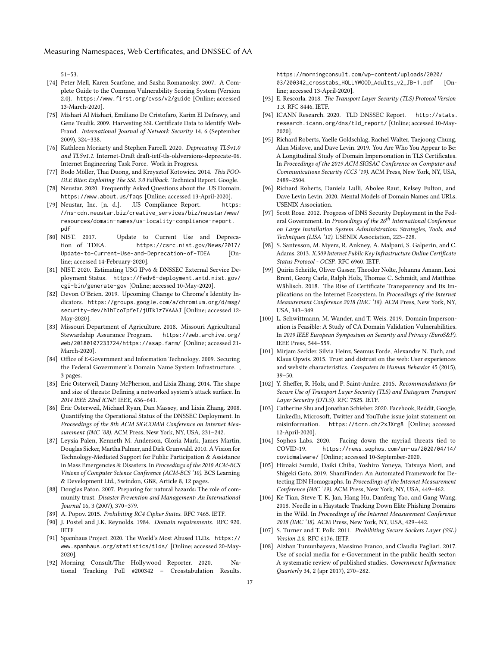51–53.

- <span id="page-16-19"></span>[74] Peter Mell, Karen Scarfone, and Sasha Romanosky. 2007. A Complete Guide to the Common Vulnerability Scoring System (Version 2.0). <https://www.first.org/cvss/v2/guide> [Online; accessed 13-March-2020].
- <span id="page-16-31"></span>[75] Mishari Al Mishari, Emiliano De Cristofaro, Karim El Defrawy, and Gene Tsudik. 2009. Harvesting SSL Certificate Data to Identify Web-Fraud. International Journal of Network Security 14, 6 (September 2009), 324–338.
- <span id="page-16-15"></span>[76] Kathleen Moriarty and Stephen Farrell. 2020. Deprecating TLSv1.0 and TLSv1.1. Internet-Draft draft-ietf-tls-oldversions-deprecate-06. Internet Engineering Task Force. Work in Progress.
- <span id="page-16-13"></span>[77] Bodo Möller, Thai Duong, and Krzysztof Kotowicz. 2014. This POO-DLE Bites: Exploiting The SSL 3.0 Fallback. Technical Report. Google.
- <span id="page-16-8"></span>[78] Neustar. 2020. Frequently Asked Questions about the .US Domain. <https://www.about.us/faqs> [Online; accessed 13-April-2020].
- <span id="page-16-7"></span>[79] Neustar, Inc. [n. d.]. .US Compliance Report. [https:](https://ns-cdn.neustar.biz/creative_services/biz/neustar/www/resources/domain-names/us-locality-compliance-report.pdf) [//ns-cdn.neustar.biz/creative\\_services/biz/neustar/www/](https://ns-cdn.neustar.biz/creative_services/biz/neustar/www/resources/domain-names/us-locality-compliance-report.pdf) [resources/domain-names/us-locality-compliance-report.](https://ns-cdn.neustar.biz/creative_services/biz/neustar/www/resources/domain-names/us-locality-compliance-report.pdf) [pdf](https://ns-cdn.neustar.biz/creative_services/biz/neustar/www/resources/domain-names/us-locality-compliance-report.pdf)
- <span id="page-16-17"></span>[80] NIST. 2017. Update to Current Use and Deprecation of TDEA. [https://csrc.nist.gov/News/2017/](https://csrc.nist.gov/News/2017/Update-to-Current-Use-and-Deprecation-of-TDEA) [Update-to-Current-Use-and-Deprecation-of-TDEA](https://csrc.nist.gov/News/2017/Update-to-Current-Use-and-Deprecation-of-TDEA) [Online; accessed 14-February-2020].
- <span id="page-16-11"></span>[81] NIST. 2020. Estimating USG IPv6 & DNSSEC External Service Deployment Status. [https://fedv6-deployment.antd.nist.gov/](https://fedv6-deployment.antd.nist.gov/cgi-bin/generate-gov) [cgi-bin/generate-gov](https://fedv6-deployment.antd.nist.gov/cgi-bin/generate-gov) [Online; accessed 10-May-2020].
- <span id="page-16-33"></span>[82] Devon O'Brien. 2019. Upcoming Change to Chrome's Identity Indicators. [https://groups.google.com/a/chromium.org/d/msg/](https://groups.google.com/a/chromium.org/d/msg/security-dev/h1bTcoTpfeI/jUTk1z7VAAAJ) [security-dev/h1bTcoTpfeI/jUTk1z7VAAAJ](https://groups.google.com/a/chromium.org/d/msg/security-dev/h1bTcoTpfeI/jUTk1z7VAAAJ) [Online; accessed 12- May-2020].
- <span id="page-16-20"></span>[83] Missouri Department of Agriculture. 2018. Missouri Agricultural Stewardship Assurance Program. [https://web.archive.org/](https://web.archive.org/web/20180107233724/https://asap.farm/) [web/20180107233724/https://asap.farm/](https://web.archive.org/web/20180107233724/https://asap.farm/) [Online; accessed 21- March-2020].
- <span id="page-16-10"></span>[84] Office of E-Government and Information Technology. 2009. Securing the Federal Government's Domain Name System Infrastructure. , 3 pages.
- <span id="page-16-4"></span>[85] Eric Osterweil, Danny McPherson, and Lixia Zhang. 2014. The shape and size of threats: Defining a networked system's attack surface. In 2014 IEEE 22nd ICNP. IEEE, 636–641.
- <span id="page-16-28"></span>[86] Eric Osterweil, Michael Ryan, Dan Massey, and Lixia Zhang. 2008. Quantifying the Operational Status of the DNSSEC Deployment. In Proceedings of the 8th ACM SIGCOMM Conference on Internet Measurement (IMC '08). ACM Press, New York, NY, USA, 231–242.
- <span id="page-16-21"></span>[87] Leysia Palen, Kenneth M. Anderson, Gloria Mark, James Martin, Douglas Sicker, Martha Palmer, and Dirk Grunwald. 2010. A Vision for Technology-Mediated Support for Public Participation & Assistance in Mass Emergencies & Disasters. In Proceedings of the 2010 ACM-BCS Visions of Computer Science Conference (ACM-BCS '10). BCS Learning & Development Ltd., Swindon, GBR, Article 8, 12 pages.
- <span id="page-16-22"></span>[88] Douglas Paton. 2007. Preparing for natural hazards: The role of community trust. Disaster Prevention and Management: An International Journal 16, 3 (2007), 370–379.
- <span id="page-16-18"></span>[89] A. Popov. 2015. Prohibiting RC4 Cipher Suites. RFC 7465. IETF.
- <span id="page-16-9"></span>[90] J. Postel and J.K. Reynolds. 1984. Domain requirements. RFC 920. IETF.
- <span id="page-16-24"></span>[91] Spamhaus Project. 2020. The World's Most Abused TLDs. [https://](https://www.spamhaus.org/statistics/tlds/) [www.spamhaus.org/statistics/tlds/](https://www.spamhaus.org/statistics/tlds/) [Online; accessed 20-May-2020].
- <span id="page-16-1"></span>[92] Morning Consult/The Hollywood Reporter. 2020. National Tracking Poll #200342 – Crosstabulation Results.

[https://morningconsult.com/wp-content/uploads/2020/](https://morningconsult.com/wp-content/uploads/2020/03/200342_crosstabs_HOLLYWOOD_Adults_v2_JB-1.pdf) [03/200342\\_crosstabs\\_HOLLYWOOD\\_Adults\\_v2\\_JB-1.pdf](https://morningconsult.com/wp-content/uploads/2020/03/200342_crosstabs_HOLLYWOOD_Adults_v2_JB-1.pdf) [Online; accessed 13-April-2020].

- <span id="page-16-14"></span>[93] E. Rescorla. 2018. The Transport Layer Security (TLS) Protocol Version 1.3. RFC 8446. IETF.
- <span id="page-16-29"></span>[94] ICANN Research. 2020. TLD DNSSEC Report. [http://stats.](http://stats.research.icann.org/dns/tld_report/) [research.icann.org/dns/tld\\_report/](http://stats.research.icann.org/dns/tld_report/) [Online; accessed 10-May-2020].
- <span id="page-16-25"></span>[95] Richard Roberts, Yaelle Goldschlag, Rachel Walter, Taejoong Chung, Alan Mislove, and Dave Levin. 2019. You Are Who You Appear to Be: A Longitudinal Study of Domain Impersonation in TLS Certificates. In Proceedings of the 2019 ACM SIGSAC Conference on Computer and Communications Security (CCS '19). ACM Press, New York, NY, USA, 2489–2504.
- <span id="page-16-34"></span>[96] Richard Roberts, Daniela Lulli, Abolee Raut, Kelsey Fulton, and Dave Levin Levin. 2020. Mental Models of Domain Names and URLs. USENIX Association.
- <span id="page-16-30"></span>[97] Scott Rose. 2012. Progress of DNS Security Deployment in the Federal Government. In Proceedings of the 26<sup>th</sup> International Conference on Large Installation System Administration: Strategies, Tools, and Techniques (LISA '12). USENIX Association, 223–228.
- <span id="page-16-6"></span>[98] S. Santesson, M. Myers, R. Ankney, A. Malpani, S. Galperin, and C. Adams. 2013. X.509 Internet Public Key Infrastructure Online Certificate Status Protocol - OCSP. RFC 6960. IETF.
- <span id="page-16-5"></span>[99] Quirin Scheitle, Oliver Gasser, Theodor Nolte, Johanna Amann, Lexi Brent, Georg Carle, Ralph Holz, Thomas C. Schmidt, and Matthias Wählisch. 2018. The Rise of Certificate Transparency and Its Implications on the Internet Ecosystem. In Proceedings of the Internet Measurement Conference 2018 (IMC '18). ACM Press, New York, NY, USA, 343–349.
- <span id="page-16-32"></span>[100] L. Schwittmann, M. Wander, and T. Weis. 2019. Domain Impersonation is Feasible: A Study of CA Domain Validation Vulnerabilities. In 2019 IEEE European Symposium on Security and Privacy (EuroS&P). IEEE Press, 544–559.
- <span id="page-16-23"></span>[101] Mirjam Seckler, Silvia Heinz, Seamus Forde, Alexandre N. Tuch, and Klaus Opwis. 2015. Trust and distrust on the web: User experiences and website characteristics. Computers in Human Behavior 45 (2015), 39–50.
- <span id="page-16-16"></span>[102] Y. Sheffer, R. Holz, and P. Saint-Andre. 2015. Recommendations for Secure Use of Transport Layer Security (TLS) and Datagram Transport Layer Security (DTLS). RFC 7525. IETF.
- <span id="page-16-2"></span>[103] Catherine Shu and Jonathan Schieber. 2020. Facebook, Reddit, Google, LinkedIn, Microsoft, Twitter and YouTube issue joint statement on misinformation. <https://tcrn.ch/2xJXrg8> [Online; accessed 12-April-2020].
- <span id="page-16-3"></span>[104] Sophos Labs. 2020. Facing down the myriad threats tied to COVID-19. [https://news.sophos.com/en-us/2020/04/14/](https://news.sophos.com/en-us/2020/04/14/covidmalware/) [covidmalware/](https://news.sophos.com/en-us/2020/04/14/covidmalware/) [Online; accessed 10-September-2020.
- <span id="page-16-27"></span>[105] Hiroaki Suzuki, Daiki Chiba, Yoshiro Yoneya, Tatsuya Mori, and Shigeki Goto. 2019. ShamFinder: An Automated Framework for Detecting IDN Homographs. In Proceedings of the Internet Measurement Conference (IMC '19). ACM Press, New York, NY, USA, 449–462.
- <span id="page-16-26"></span>[106] Ke Tian, Steve T. K. Jan, Hang Hu, Danfeng Yao, and Gang Wang. 2018. Needle in a Haystack: Tracking Down Elite Phishing Domains in the Wild. In Proceedings of the Internet Measurement Conference 2018 (IMC '18). ACM Press, New York, NY, USA, 429–442.
- <span id="page-16-12"></span>[107] S. Turner and T. Polk. 2011. Prohibiting Secure Sockets Layer (SSL) Version 2.0. RFC 6176. IETF.
- <span id="page-16-0"></span>[108] Aizhan Tursunbayeva, Massimo Franco, and Claudia Pagliari. 2017. Use of social media for e-Government in the public health sector: A systematic review of published studies. Government Information Quarterly 34, 2 (apr 2017), 270–282.